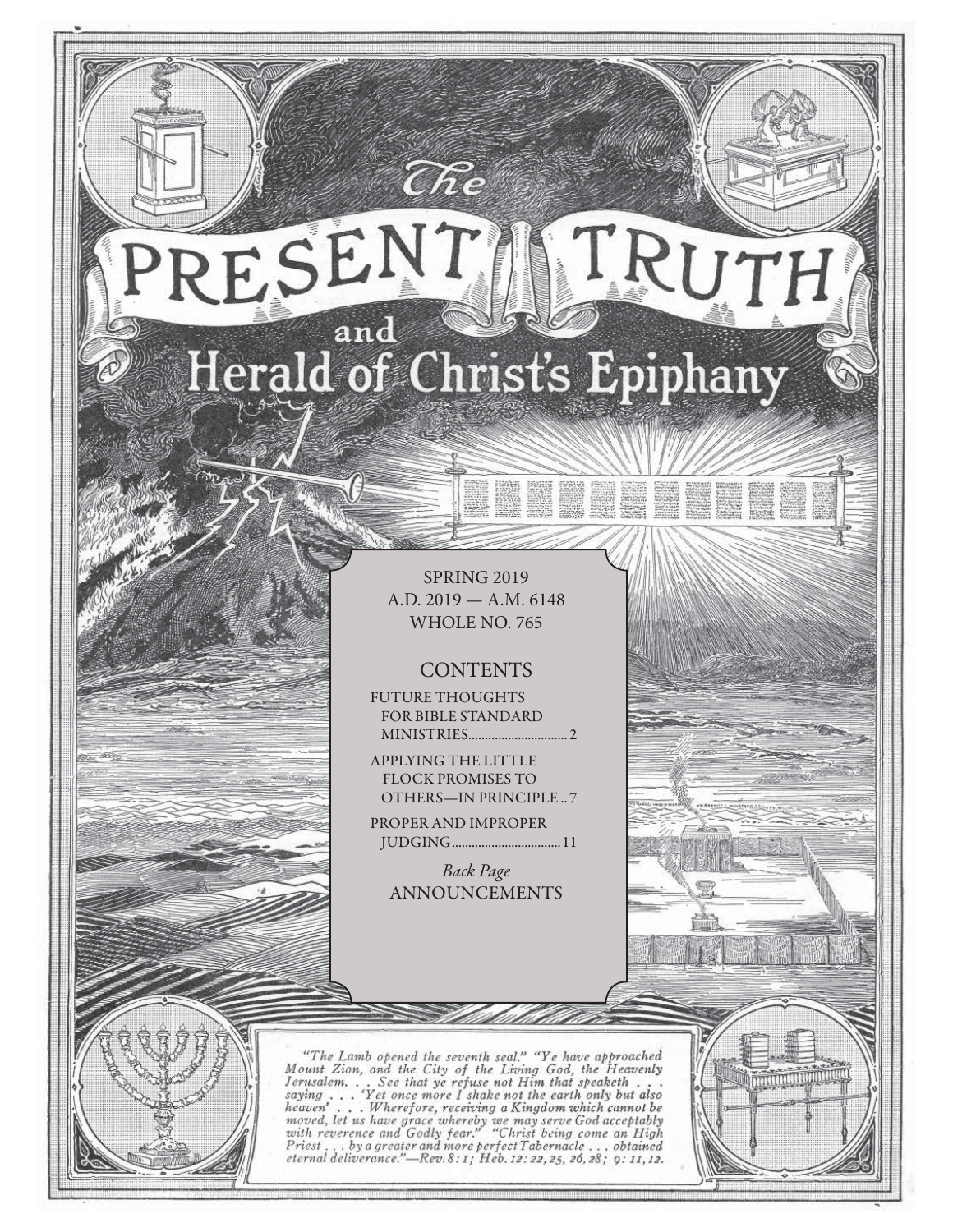## RESENT TRUTH and Herald of Christ's Epiphany

 $\widehat{C}\hspace{-0.6mm}\mathit{\widehat{R}} e$ 

SPRING 2019 A.D. 2019 — A.M. 6148 WHOLE NO. 765

#### **CONTENTS**

FUTURE THOUGHTS FOR BIBLE STANDARD MINISTRIES .............................. 2

APPLYING THE LITTLE FLOCK PROMISES TO OTHERS—IN PRINCIPLE .. 7

PROPER AND IMPROPER JUDGING .................................11

Back Page ANNOUNCEMENTS

"The Lamb opened the seventh seal." "Ye have approached Mount Zion, and the City of the Living God, the Heavenly Jerusalem... See that ye refuse not Him that speaketh...<br>saying... 'Yet once more I shake not the earth only serusian... See that ye refuse not fit me in the any but also<br>saying ... Wherefore, receiving a Kingdom which cannot be<br>moved, let us have grace whereby we may serve God acceptably<br>with reverence and Godly fear." "Christ b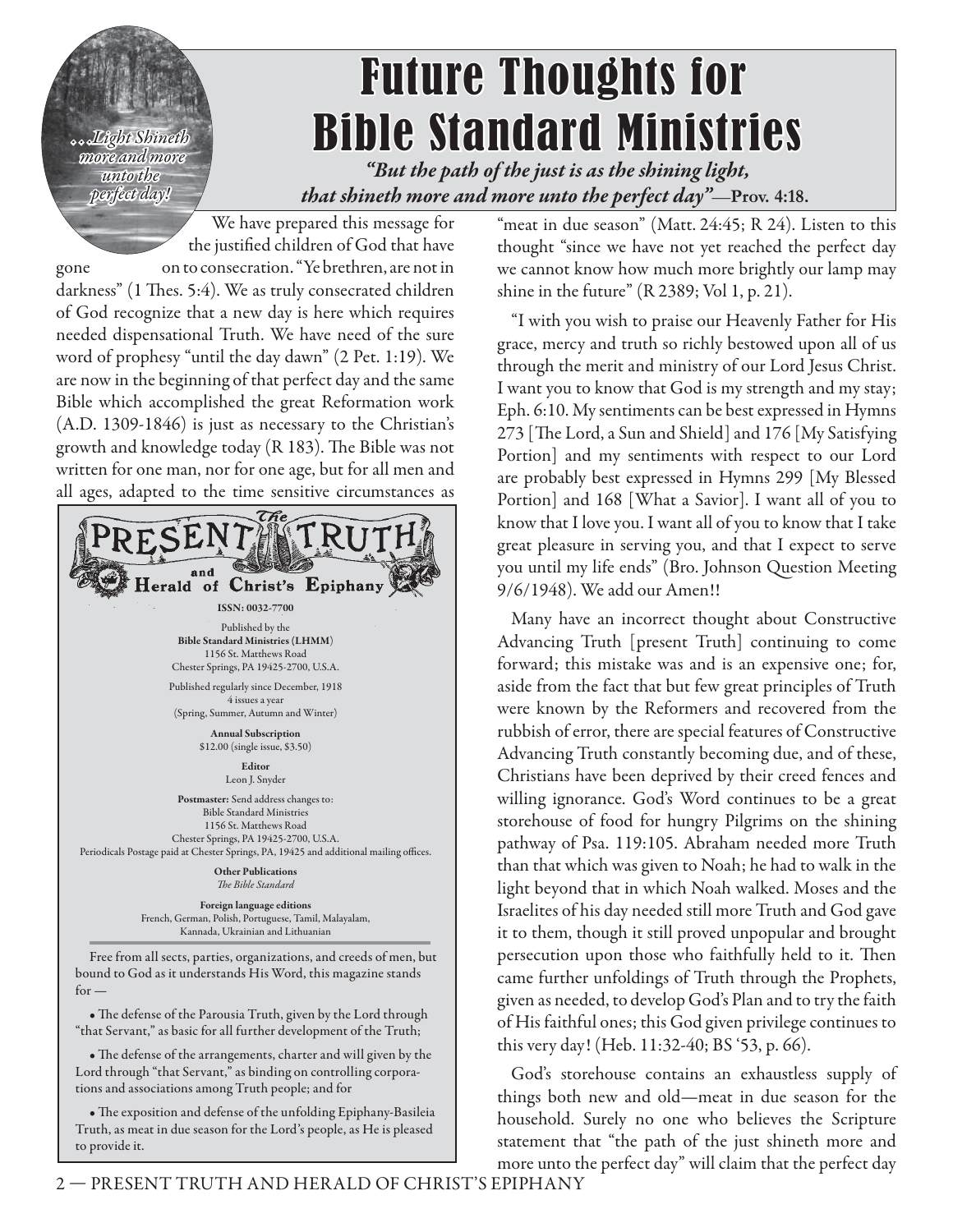*. . .Light Shineth more and more more unto the perfect day!*

# Future Thoughts for **Bible Standard Ministries**

*"But the path of the just is as the shining light, that shineth more and more unto the perfect day"*—**Prov. 4:18.**

We have prepared this message for the justified children of God that have gone on to consecration. "Ye brethren, are not in darkness" (1 Thes. 5:4). We as truly consecrated children of God recognize that a new day is here which requires needed dispensational Truth. We have need of the sure word of prophesy "until the day dawn" (2 Pet. 1:19). We are now in the beginning of that perfect day and the same Bible which accomplished the great Reformation work (A.D. 1309-1846) is just as necessary to the Christian's growth and knowledge today (R 183). The Bible was not written for one man, nor for one age, but for all men and all ages, adapted to the time sensitive circumstances as



bound to God as it understands His Word, this magazine stands  $for -$ 

• The defense of the Parousia Truth, given by the Lord through "that Servant," as basic for all further development of the Truth;

• The defense of the arrangements, charter and will given by the Lord through "that Servant," as binding on controlling corporations and associations among Truth people; and for

• The exposition and defense of the unfolding Epiphany-Basileia Truth, as meat in due season for the Lord's people, as He is pleased to provide it.

"meat in due season" (Matt. 24:45; R 24). Listen to this thought "since we have not yet reached the perfect day we cannot know how much more brightly our lamp may shine in the future" (R 2389; Vol 1, p. 21).

"I with you wish to praise our Heavenly Father for His grace, mercy and truth so richly bestowed upon all of us through the merit and ministry of our Lord Jesus Christ. I want you to know that God is my strength and my stay; Eph. 6:10. My sentiments can be best expressed in Hymns 273 [The Lord, a Sun and Shield] and 176 [My Satisfying Portion] and my sentiments with respect to our Lord are probably best expressed in Hymns 299 [My Blessed Portion] and 168 [What a Savior]. I want all of you to know that I love you. I want all of you to know that I take great pleasure in serving you, and that I expect to serve you until my life ends" (Bro. Johnson Question Meeting 9/6/1948). We add our Amen!!

Many have an incorrect thought about Constructive Advancing Truth [present Truth] continuing to come forward; this mistake was and is an expensive one; for, aside from the fact that but few great principles of Truth were known by the Reformers and recovered from the rubbish of error, there are special features of Constructive Advancing Truth constantly becoming due, and of these, Christians have been deprived by their creed fences and willing ignorance. God's Word continues to be a great storehouse of food for hungry Pilgrims on the shining pathway of Psa. 119:105. Abraham needed more Truth than that which was given to Noah; he had to walk in the light beyond that in which Noah walked. Moses and the Israelites of his day needed still more Truth and God gave it to them, though it still proved unpopular and brought persecution upon those who faithfully held to it. Then came further unfoldings of Truth through the Prophets, given as needed, to develop God's Plan and to try the faith of His faithful ones; this God given privilege continues to this very day! (Heb. 11:32-40; BS '53, p. 66).

God's storehouse contains an exhaustless supply of things both new and old—meat in due season for the household. Surely no one who believes the Scripture statement that "the path of the just shineth more and more unto the perfect day" will claim that the perfect day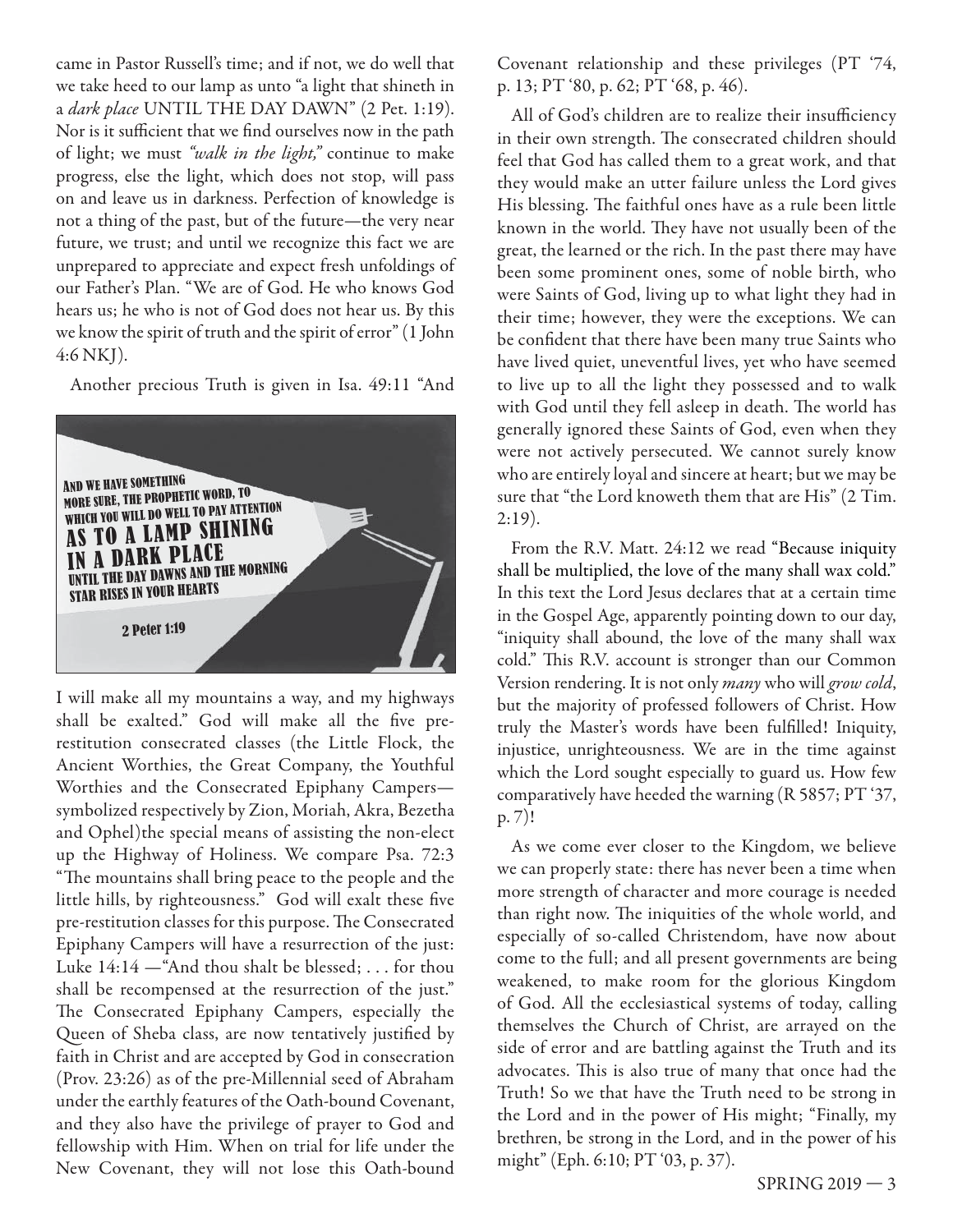came in Pastor Russell's time; and if not, we do well that we take heed to our lamp as unto "a light that shineth in a dark place UNTIL THE DAY DAWN" (2 Pet. 1:19). Nor is it sufficient that we find ourselves now in the path of light; we must "walk in the light," continue to make progress, else the light, which does not stop, will pass on and leave us in darkness. Perfection of knowledge is not a thing of the past, but of the future—the very near future, we trust; and until we recognize this fact we are unprepared to appreciate and expect fresh unfoldings of our Father's Plan. "We are of God. He who knows God hears us; he who is not of God does not hear us. By this we know the spirit of truth and the spirit of error" (1 John 4:6 NKJ).

Another precious Truth is given in Isa. 49:11 "And



I will make all my mountains a way, and my highways shall be exalted." God will make all the five prerestitution consecrated classes (the Little Flock, the Ancient Worthies, the Great Company, the Youthful Worthies and the Consecrated Epiphany Campers symbolized respectively by Zion, Moriah, Akra, Bezetha and Ophel)the special means of assisting the non-elect up the Highway of Holiness. We compare Psa. 72:3 "The mountains shall bring peace to the people and the little hills, by righteousness." God will exalt these five pre-restitution classes for this purpose. The Consecrated Epiphany Campers will have a resurrection of the just: Luke 14:14 —"And thou shalt be blessed; . . . for thou shall be recompensed at the resurrection of the just." The Consecrated Epiphany Campers, especially the Queen of Sheba class, are now tentatively justified by faith in Christ and are accepted by God in consecration (Prov. 23:26) as of the pre-Millennial seed of Abraham under the earthly features of the Oath-bound Covenant, and they also have the privilege of prayer to God and fellowship with Him. When on trial for life under the New Covenant, they will not lose this Oath-bound

Covenant relationship and these privileges (PT '74, p. 13; PT '80, p. 62; PT '68, p. 46).

All of God's children are to realize their insufficiency in their own strength. The consecrated children should feel that God has called them to a great work, and that they would make an utter failure unless the Lord gives His blessing. The faithful ones have as a rule been little known in the world. They have not usually been of the great, the learned or the rich. In the past there may have been some prominent ones, some of noble birth, who were Saints of God, living up to what light they had in their time; however, they were the exceptions. We can be confident that there have been many true Saints who have lived quiet, uneventful lives, yet who have seemed to live up to all the light they possessed and to walk with God until they fell asleep in death. The world has generally ignored these Saints of God, even when they were not actively persecuted. We cannot surely know who are entirely loyal and sincere at heart; but we may be sure that "the Lord knoweth them that are His" (2 Tim.  $2:19$ ).

From the R.V. Matt. 24:12 we read "Because iniquity shall be multiplied, the love of the many shall wax cold." In this text the Lord Jesus declares that at a certain time in the Gospel Age, apparently pointing down to our day, "iniquity shall abound, the love of the many shall wax cold." This R.V. account is stronger than our Common Version rendering. It is not only many who will grow cold, but the majority of professed followers of Christ. How truly the Master's words have been fulfilled! Iniquity, injustice, unrighteousness. We are in the time against which the Lord sought especially to guard us. How few comparatively have heeded the warning (R 5857; PT '37, p. 7)!

As we come ever closer to the Kingdom, we believe we can properly state: there has never been a time when more strength of character and more courage is needed than right now. The iniquities of the whole world, and especially of so-called Christendom, have now about come to the full; and all present governments are being weakened, to make room for the glorious Kingdom of God. All the ecclesiastical systems of today, calling themselves the Church of Christ, are arrayed on the side of error and are battling against the Truth and its advocates. This is also true of many that once had the Truth! So we that have the Truth need to be strong in the Lord and in the power of His might; "Finally, my brethren, be strong in the Lord, and in the power of his might" (Eph. 6:10; PT '03, p. 37).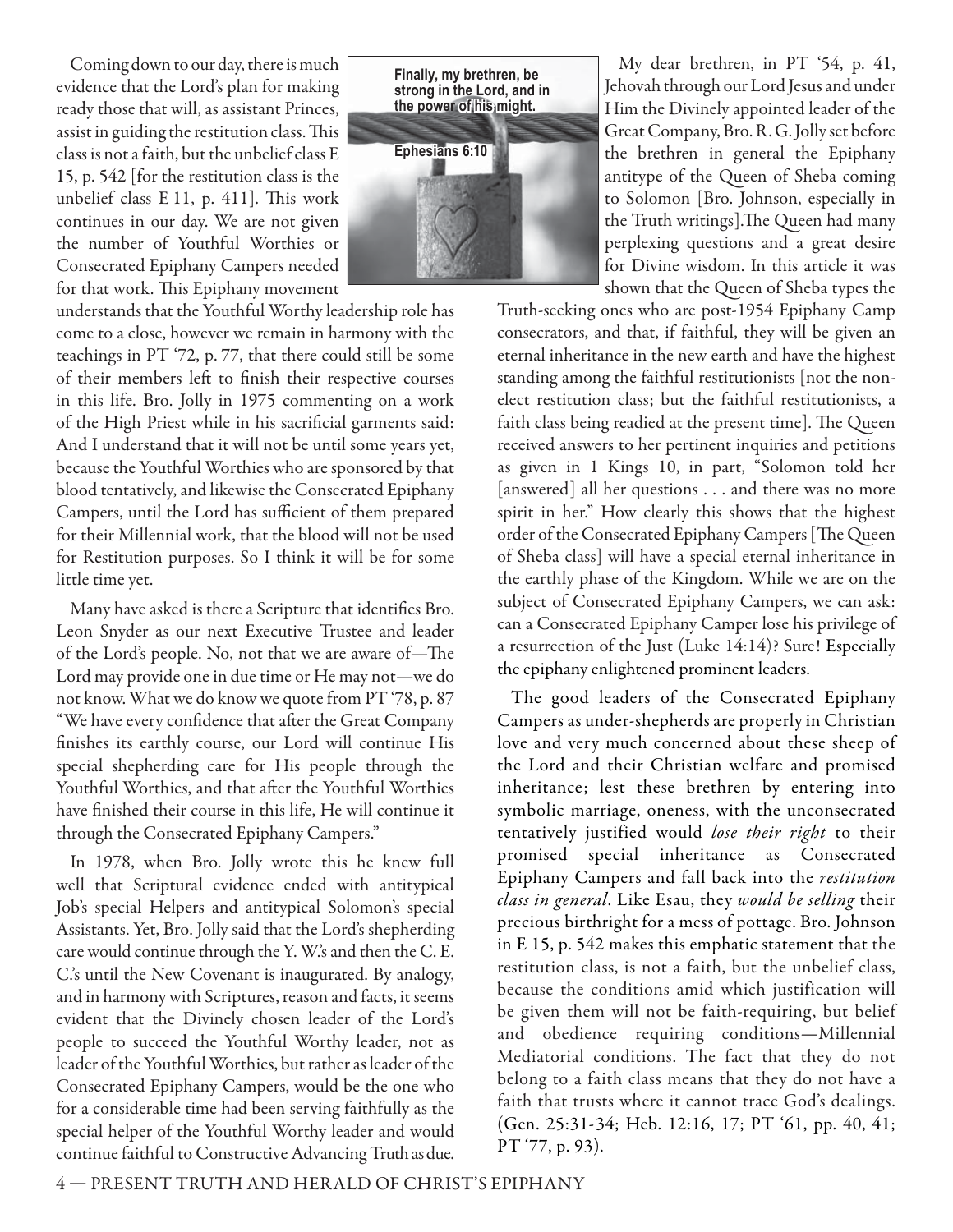Coming down to our day, there is much evidence that the Lord's plan for making ready those that will, as assistant Princes, assist in guiding the restitution class. This class is not a faith, but the unbelief class E 15, p. 542 [for the restitution class is the unbelief class  $E$  11, p. 411]. This work continues in our day. We are not given the number of Youthful Worthies or Consecrated Epiphany Campers needed for that work. This Epiphany movement

understands that the Youthful Worthy leadership role has come to a close, however we remain in harmony with the teachings in PT '72, p. 77, that there could still be some of their members left to finish their respective courses in this life. Bro. Jolly in 1975 commenting on a work of the High Priest while in his sacrificial garments said: And I understand that it will not be until some years yet, because the Youthful Worthies who are sponsored by that blood tentatively, and likewise the Consecrated Epiphany Campers, until the Lord has sufficient of them prepared for their Millennial work, that the blood will not be used for Restitution purposes. So I think it will be for some little time yet.

Many have asked is there a Scripture that identifies Bro. Leon Snyder as our next Executive Trustee and leader of the Lord's people. No, not that we are aware of-The Lord may provide one in due time or He may not—we do not know. What we do know we quote from PT '78, p. 87 "We have every confidence that after the Great Company finishes its earthly course, our Lord will continue His special shepherding care for His people through the Youthful Worthies, and that after the Youthful Worthies have finished their course in this life, He will continue it through the Consecrated Epiphany Campers."

In 1978, when Bro. Jolly wrote this he knew full well that Scriptural evidence ended with antitypical Job's special Helpers and antitypical Solomon's special Assistants. Yet, Bro. Jolly said that the Lord's shepherding care would continue through the Y. W.'s and then the C. E. C.'s until the New Covenant is inaugurated. By analogy, and in harmony with Scriptures, reason and facts, it seems evident that the Divinely chosen leader of the Lord's people to succeed the Youthful Worthy leader, not as leader of the Youthful Worthies, but rather as leader of the Consecrated Epiphany Campers, would be the one who for a considerable time had been serving faithfully as the special helper of the Youthful Worthy leader and would continue faithful to Constructive Advancing Truth as due.



My dear brethren, in PT '54, p. 41, Jehovah through our Lord Jesus and under Him the Divinely appointed leader of the Great Company, Bro. R. G. Jolly set before the brethren in general the Epiphany antitype of the Queen of Sheba coming to Solomon [Bro. Johnson, especially in the Truth writings].The Queen had many perplexing questions and a great desire for Divine wisdom. In this article it was shown that the Queen of Sheba types the

Truth-seeking ones who are post-1954 Epiphany Camp consecrators, and that, if faithful, they will be given an eternal inheritance in the new earth and have the highest standing among the faithful restitutionists [not the nonelect restitution class; but the faithful restitutionists, a faith class being readied at the present time]. The Queen received answers to her pertinent inquiries and petitions as given in 1 Kings 10, in part, "Solomon told her [answered] all her questions . . . and there was no more spirit in her." How clearly this shows that the highest order of the Consecrated Epiphany Campers [The Queen of Sheba class] will have a special eternal inheritance in the earthly phase of the Kingdom. While we are on the subject of Consecrated Epiphany Campers, we can ask: can a Consecrated Epiphany Camper lose his privilege of a resurrection of the Just (Luke 14:14)? Sure! Especially the epiphany enlightened prominent leaders.

The good leaders of the Consecrated Epiphany Campers as under-shepherds are properly in Christian love and very much concerned about these sheep of the Lord and their Christian welfare and promised inheritance; lest these brethren by entering into symbolic marriage, oneness, with the unconsecrated tentatively justified would lose their right to their promised special inheritance as Consecrated Epiphany Campers and fall back into the restitution class in general. Like Esau, they would be selling their precious birthright for a mess of pottage. Bro. Johnson in E 15, p. 542 makes this emphatic statement that the restitution class, is not a faith, but the unbelief class, because the conditions amid which justification will be given them will not be faith-requiring, but belief and obedience requiring conditions—Millennial Mediatorial conditions. The fact that they do not belong to a faith class means that they do not have a faith that trusts where it cannot trace God's dealings. (Gen. 25:31-34; Heb. 12:16, 17; PT '61, pp. 40, 41; PT '77, p. 93).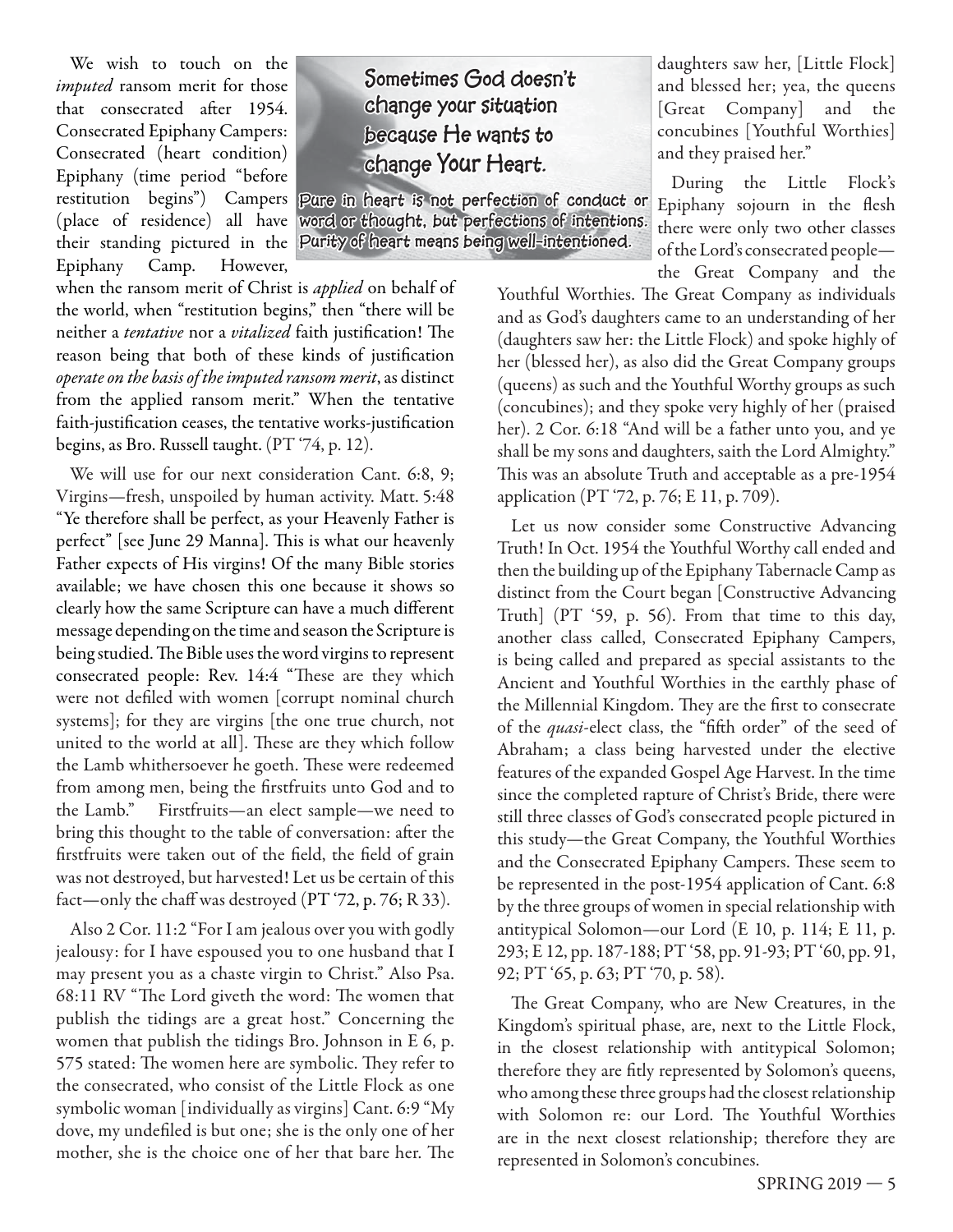We wish to touch on the imputed ransom merit for those that consecrated after 1954. Consecrated Epiphany Campers: Consecrated (heart condition) Epiphany (time period "before restitution begins") Campers (place of residence) all have their standing pictured in the Epiphany Camp. However,

Sometimes God doesn't **change your situation because He wants to change Your Heart.**

**Pure in heart is not perfection of conduct or**  word or thought, but perfections of intentions. **Purity of heart means being well-intentioned. being** 

when the ransom merit of Christ is *applied* on behalf of the world, when "restitution begins," then "there will be neither a tentative nor a vitalized faith justification! The reason being that both of these kinds of justification operate on the basis of the imputed ransom merit, as distinct from the applied ransom merit." When the tentative faith-justification ceases, the tentative works-justification begins, as Bro. Russell taught. (PT '74, p. 12).

We will use for our next consideration Cant. 6:8, 9; Virgins—fresh, unspoiled by human activity. Matt. 5:48 "Ye therefore shall be perfect, as your Heavenly Father is perfect" [see June 29 Manna]. This is what our heavenly Father expects of His virgins! Of the many Bible stories available; we have chosen this one because it shows so clearly how the same Scripture can have a much different message depending on the time and season the Scripture is being studied. The Bible uses the word virgins to represent consecrated people: Rev. 14:4 "These are they which were not defiled with women [corrupt nominal church systems]; for they are virgins [the one true church, not united to the world at all]. These are they which follow the Lamb whithersoever he goeth. These were redeemed from among men, being the firstfruits unto God and to the Lamb." Firstfruits—an elect sample—we need to bring this thought to the table of conversation: after the firstfruits were taken out of the field, the field of grain was not destroyed, but harvested! Let us be certain of this fact—only the chaff was destroyed (PT '72, p. 76; R 33).

Also 2 Cor. 11:2 "For I am jealous over you with godly jealousy: for I have espoused you to one husband that I may present you as a chaste virgin to Christ." Also Psa. 68:11 RV "The Lord giveth the word: The women that publish the tidings are a great host." Concerning the women that publish the tidings Bro. Johnson in E 6, p. 575 stated: The women here are symbolic. They refer to the consecrated, who consist of the Little Flock as one symbolic woman [individually as virgins] Cant. 6:9 "My dove, my undefiled is but one; she is the only one of her mother, she is the choice one of her that bare her. The daughters saw her, [Little Flock] and blessed her; yea, the queens [Great Company] and the concubines [Youthful Worthies] and they praised her."

During the Little Flock's Epiphany sojourn in the flesh there were only two other classes of the Lord's consecrated people the Great Company and the

Youthful Worthies. The Great Company as individuals and as God's daughters came to an understanding of her (daughters saw her: the Little Flock) and spoke highly of her (blessed her), as also did the Great Company groups (queens) as such and the Youthful Worthy groups as such (concubines); and they spoke very highly of her (praised her). 2 Cor. 6:18 "And will be a father unto you, and ye shall be my sons and daughters, saith the Lord Almighty." This was an absolute Truth and acceptable as a pre-1954 application (PT '72, p. 76; E 11, p. 709).

Let us now consider some Constructive Advancing Truth! In Oct. 1954 the Youthful Worthy call ended and then the building up of the Epiphany Tabernacle Camp as distinct from the Court began [Constructive Advancing Truth] (PT '59, p. 56). From that time to this day, another class called, Consecrated Epiphany Campers, is being called and prepared as special assistants to the Ancient and Youthful Worthies in the earthly phase of the Millennial Kingdom. They are the first to consecrate of the *quasi*-elect class, the "fifth order" of the seed of Abraham; a class being harvested under the elective features of the expanded Gospel Age Harvest. In the time since the completed rapture of Christ's Bride, there were still three classes of God's consecrated people pictured in this study—the Great Company, the Youthful Worthies and the Consecrated Epiphany Campers. These seem to be represented in the post-1954 application of Cant. 6:8 by the three groups of women in special relationship with antitypical Solomon—our Lord (E 10, p. 114; E 11, p. 293; E 12, pp. 187-188; PT '58, pp. 91-93; PT '60, pp. 91, 92; PT '65, p. 63; PT '70, p. 58).

The Great Company, who are New Creatures, in the Kingdom's spiritual phase, are, next to the Little Flock, in the closest relationship with antitypical Solomon; therefore they are fitly represented by Solomon's queens, who among these three groups had the closest relationship with Solomon re: our Lord. The Youthful Worthies are in the next closest relationship; therefore they are represented in Solomon's concubines.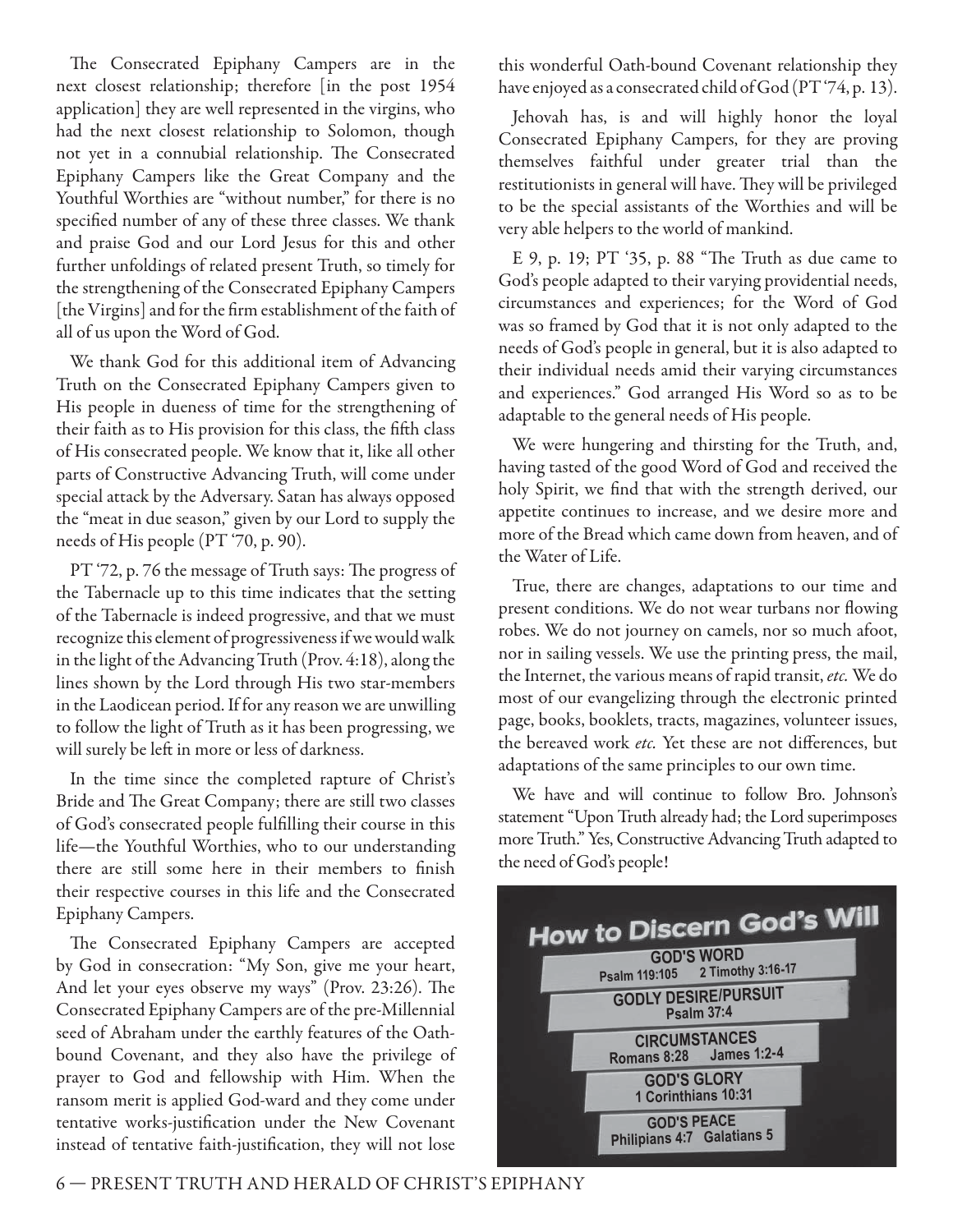The Consecrated Epiphany Campers are in the next closest relationship; therefore [in the post 1954 application] they are well represented in the virgins, who had the next closest relationship to Solomon, though not yet in a connubial relationship. The Consecrated Epiphany Campers like the Great Company and the Youthful Worthies are "without number," for there is no specified number of any of these three classes. We thank and praise God and our Lord Jesus for this and other further unfoldings of related present Truth, so timely for the strengthening of the Consecrated Epiphany Campers [the Virgins] and for the firm establishment of the faith of all of us upon the Word of God.

We thank God for this additional item of Advancing Truth on the Consecrated Epiphany Campers given to His people in dueness of time for the strengthening of their faith as to His provision for this class, the fifth class of His consecrated people. We know that it, like all other parts of Constructive Advancing Truth, will come under special attack by the Adversary. Satan has always opposed the "meat in due season," given by our Lord to supply the needs of His people (PT '70, p. 90).

PT '72, p. 76 the message of Truth says: The progress of the Tabernacle up to this time indicates that the setting of the Tabernacle is indeed progressive, and that we must recognize this element of progressiveness if we would walk in the light of the Advancing Truth (Prov. 4:18), along the lines shown by the Lord through His two star-members in the Laodicean period. If for any reason we are unwilling to follow the light of Truth as it has been progressing, we will surely be left in more or less of darkness.

In the time since the completed rapture of Christ's Bride and The Great Company; there are still two classes of God's consecrated people fulfilling their course in this life—the Youthful Worthies, who to our understanding there are still some here in their members to finish their respective courses in this life and the Consecrated Epiphany Campers.

The Consecrated Epiphany Campers are accepted by God in consecration: "My Son, give me your heart, And let your eyes observe my ways" (Prov. 23:26). The Consecrated Epiphany Campers are of the pre-Millennial seed of Abraham under the earthly features of the Oathbound Covenant, and they also have the privilege of prayer to God and fellowship with Him. When the ransom merit is applied God-ward and they come under tentative works-justification under the New Covenant instead of tentative faith-justification, they will not lose

this wonderful Oath-bound Covenant relationship they have enjoyed as a consecrated child of God (PT '74, p. 13).

Jehovah has, is and will highly honor the loyal Consecrated Epiphany Campers, for they are proving themselves faithful under greater trial than the restitutionists in general will have. They will be privileged to be the special assistants of the Worthies and will be very able helpers to the world of mankind.

E 9, p. 19; PT '35, p. 88 "The Truth as due came to God's people adapted to their varying providential needs, circumstances and experiences; for the Word of God was so framed by God that it is not only adapted to the needs of God's people in general, but it is also adapted to their individual needs amid their varying circumstances and experiences." God arranged His Word so as to be adaptable to the general needs of His people.

We were hungering and thirsting for the Truth, and, having tasted of the good Word of God and received the holy Spirit, we find that with the strength derived, our appetite continues to increase, and we desire more and more of the Bread which came down from heaven, and of the Water of Life.

True, there are changes, adaptations to our time and present conditions. We do not wear turbans nor flowing robes. We do not journey on camels, nor so much afoot, nor in sailing vessels. We use the printing press, the mail, the Internet, the various means of rapid transit, etc. We do most of our evangelizing through the electronic printed page, books, booklets, tracts, magazines, volunteer issues, the bereaved work etc. Yet these are not differences, but adaptations of the same principles to our own time.

We have and will continue to follow Bro. Johnson's statement "Upon Truth already had; the Lord superimposes more Truth." Yes, Constructive Advancing Truth adapted to the need of God's people!

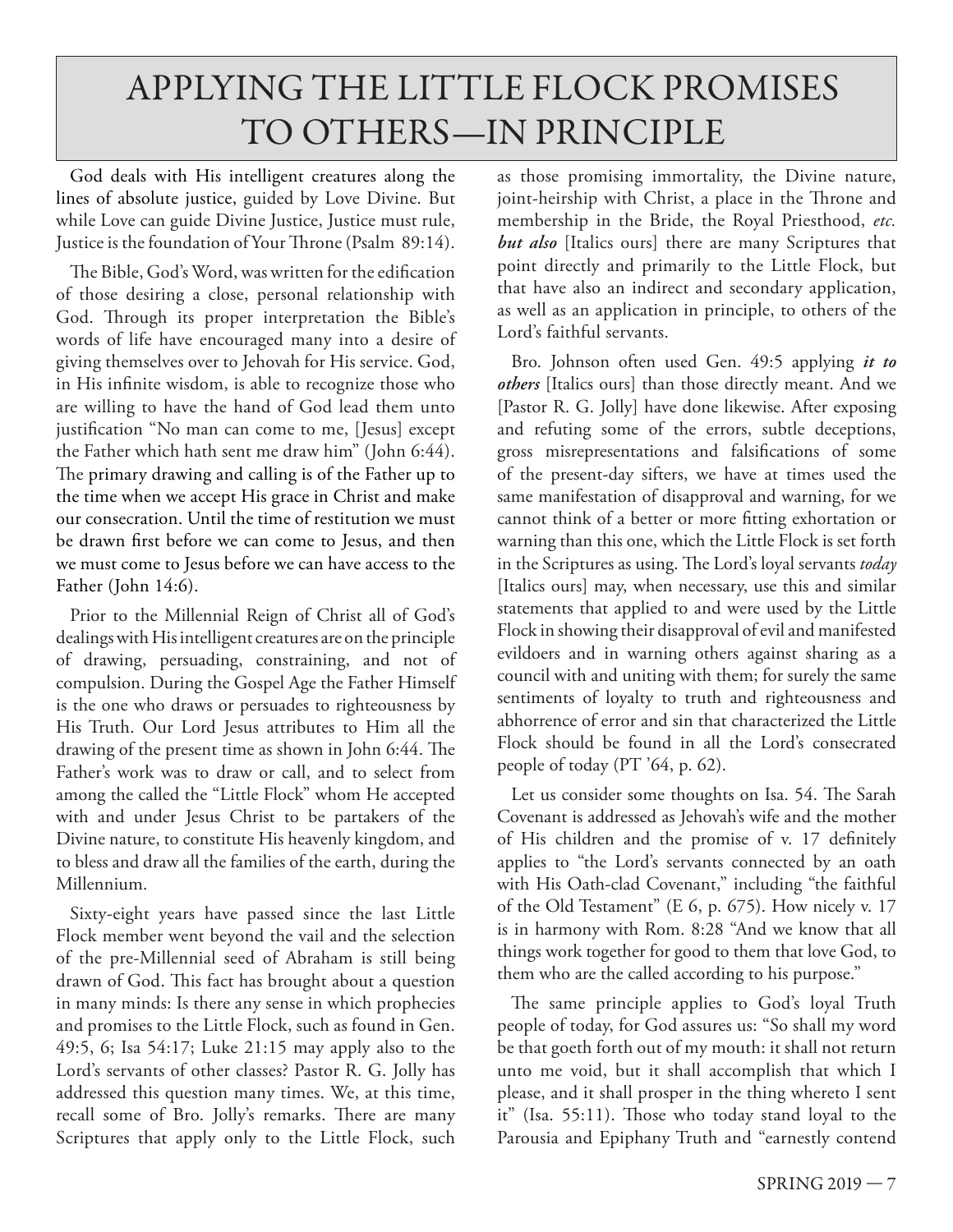### APPLYING THE LITTLE FLOCK PROMISES TO OTHERS—IN PRINCIPLE

God deals with His intelligent creatures along the lines of absolute justice, guided by Love Divine. But while Love can guide Divine Justice, Justice must rule, Justice is the foundation of Your Throne (Psalm 89:14).

The Bible, God's Word, was written for the edification of those desiring a close, personal relationship with God. Through its proper interpretation the Bible's words of life have encouraged many into a desire of giving themselves over to Jehovah for His service. God, in His infinite wisdom, is able to recognize those who are willing to have the hand of God lead them unto justification "No man can come to me, [Jesus] except the Father which hath sent me draw him" (John 6:44). The primary drawing and calling is of the Father up to the time when we accept His grace in Christ and make our consecration. Until the time of restitution we must be drawn first before we can come to Jesus, and then we must come to Jesus before we can have access to the Father (John 14:6).

Prior to the Millennial Reign of Christ all of God's dealings with His intelligent creatures are on the principle of drawing, persuading, constraining, and not of compulsion. During the Gospel Age the Father Himself is the one who draws or persuades to righteousness by His Truth. Our Lord Jesus attributes to Him all the drawing of the present time as shown in John 6:44. The Father's work was to draw or call, and to select from among the called the "Little Flock" whom He accepted with and under Jesus Christ to be partakers of the Divine nature, to constitute His heavenly kingdom, and to bless and draw all the families of the earth, during the Millennium.

Sixty-eight years have passed since the last Little Flock member went beyond the vail and the selection of the pre-Millennial seed of Abraham is still being drawn of God. This fact has brought about a question in many minds: Is there any sense in which prophecies and promises to the Little Flock, such as found in Gen. 49:5, 6; Isa 54:17; Luke 21:15 may apply also to the Lord's servants of other classes? Pastor R. G. Jolly has addressed this question many times. We, at this time, recall some of Bro. Jolly's remarks. There are many Scriptures that apply only to the Little Flock, such

as those promising immortality, the Divine nature, joint-heirship with Christ, a place in the Throne and membership in the Bride, the Royal Priesthood, *etc. but also* [Italics ours] there are many Scriptures that point directly and primarily to the Little Flock, but that have also an indirect and secondary application, as well as an application in principle, to others of the Lord's faithful servants.

Bro. Johnson often used Gen. 49:5 applying *it to others* [Italics ours] than those directly meant. And we [Pastor R. G. Jolly] have done likewise. After exposing and refuting some of the errors, subtle deceptions, gross misrepresentations and falsifications of some of the present-day sifters, we have at times used the same manifestation of disapproval and warning, for we cannot think of a better or more fitting exhortation or warning than this one, which the Little Flock is set forth in the Scriptures as using. The Lord's loyal servants *today* [Italics ours] may, when necessary, use this and similar statements that applied to and were used by the Little Flock in showing their disapproval of evil and manifested evildoers and in warning others against sharing as a council with and uniting with them; for surely the same sentiments of loyalty to truth and righteousness and abhorrence of error and sin that characterized the Little Flock should be found in all the Lord's consecrated people of today (PT '64, p. 62).

Let us consider some thoughts on Isa. 54. The Sarah Covenant is addressed as Jehovah's wife and the mother of His children and the promise of v. 17 definitely applies to "the Lord's servants connected by an oath with His Oath-clad Covenant," including "the faithful of the Old Testament" (E 6, p. 675). How nicely v. 17 is in harmony with Rom. 8:28 "And we know that all things work together for good to them that love God, to them who are the called according to his purpose."

The same principle applies to God's loyal Truth people of today, for God assures us: "So shall my word be that goeth forth out of my mouth: it shall not return unto me void, but it shall accomplish that which I please, and it shall prosper in the thing whereto I sent it" (Isa. 55:11). Those who today stand loyal to the Parousia and Epiphany Truth and "earnestly contend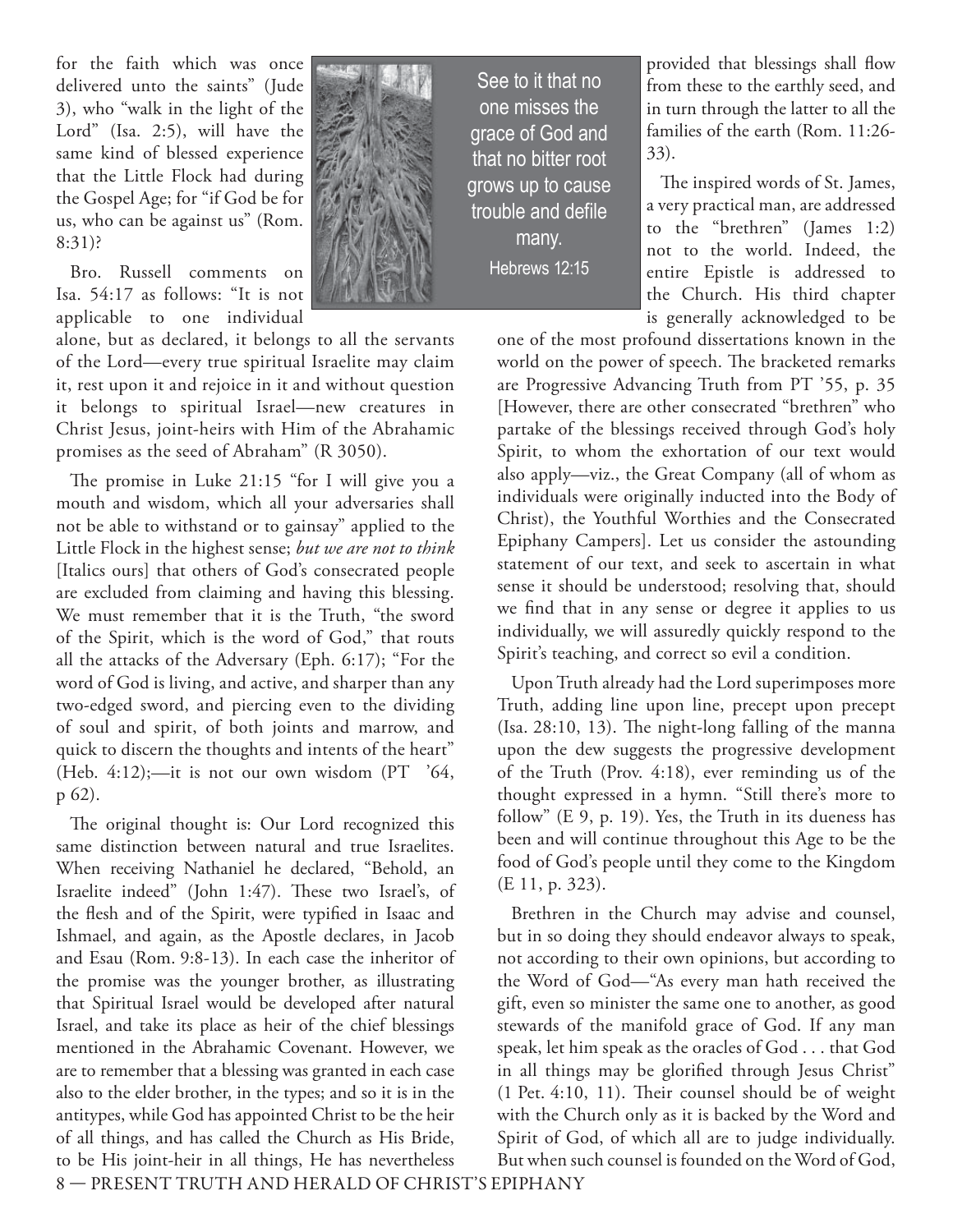for the faith which was once delivered unto the saints" (Jude 3), who "walk in the light of the Lord" (Isa. 2:5), will have the same kind of blessed experience that the Little Flock had during the Gospel Age; for "if God be for us, who can be against us" (Rom. 8:31)?

Bro. Russell comments on Isa. 54:17 as follows: "It is not applicable to one individual

alone, but as declared, it belongs to all the servants of the Lord—every true spiritual Israelite may claim it, rest upon it and rejoice in it and without question it belongs to spiritual Israel—new creatures in Christ Jesus, joint-heirs with Him of the Abrahamic promises as the seed of Abraham" (R 3050).

The promise in Luke  $21:15$  "for I will give you a mouth and wisdom, which all your adversaries shall not be able to withstand or to gainsay" applied to the Little Flock in the highest sense; *but we are not to think* [Italics ours] that others of God's consecrated people are excluded from claiming and having this blessing. We must remember that it is the Truth, "the sword of the Spirit, which is the word of God," that routs all the attacks of the Adversary (Eph. 6:17); "For the word of God is living, and active, and sharper than any two-edged sword, and piercing even to the dividing of soul and spirit, of both joints and marrow, and quick to discern the thoughts and intents of the heart" (Heb.  $4:12$ );-it is not our own wisdom (PT  $'64$ , p 62).

The original thought is: Our Lord recognized this same distinction between natural and true Israelites. When receiving Nathaniel he declared, "Behold, an Israelite indeed" (John 1:47). These two Israel's, of the flesh and of the Spirit, were typified in Isaac and Ishmael, and again, as the Apostle declares, in Jacob and Esau (Rom. 9:8- 13). In each case the inheritor of the promise was the younger brother, as illustrating that Spiritual Israel would be developed after natural Israel, and take its place as heir of the chief blessings mentioned in the Abrahamic Covenant. However, we are to remember that a blessing was granted in each case also to the elder brother, in the types; and so it is in the antitypes, while God has appointed Christ to be the heir of all things, and has called the Church as His Bride, to be His joint-heir in all things, He has nevertheless



See to it that no one misses the grace of God and that no bitter root grows up to cause trouble and defile many. Hebrews 12:15

provided that blessings shall flow from these to the earthly seed, and in turn through the latter to all the families of the earth (Rom. 11:26- 33).

The inspired words of St. James, a very practical man, are addressed to the "brethren" (James 1:2) not to the world. Indeed, the entire Epistle is addressed to the Church. His third chapter is generally acknowledged to be

one of the most profound dissertations known in the world on the power of speech. The bracketed remarks are Progressive Advancing Truth from PT '55, p. 35 [However, there are other consecrated "brethren" who partake of the blessings received through God's holy Spirit, to whom the exhortation of our text would also apply—viz., the Great Company (all of whom as individuals were originally inducted into the Body of Christ), the Youthful Worthies and the Consecrated Epiphany Campers]. Let us consider the astounding statement of our text, and seek to ascertain in what sense it should be understood; resolving that, should we find that in any sense or degree it applies to us individually, we will assuredly quickly respond to the Spirit's teaching, and correct so evil a condition.

Upon Truth already had the Lord superimposes more Truth, adding line upon line, precept upon precept  $(Isa. 28:10, 13)$ . The night-long falling of the manna upon the dew suggests the progressive development of the Truth (Prov. 4:18), ever reminding us of the thought expressed in a hymn. "Still there's more to follow" (E 9, p. 19). Yes, the Truth in its dueness has been and will continue throughout this Age to be the food of God's people until they come to the Kingdom (E 11, p. 323).

Brethren in the Church may advise and counsel, but in so doing they should endeavor always to speak, not according to their own opinions, but according to the Word of God—"As every man hath received the gift, even so minister the same one to another, as good stewards of the manifold grace of God. If any man speak, let him speak as the oracles of God . . . that God in all things may be glorified through Jesus Christ"  $(1$  Pet. 4:10, 11). Their counsel should be of weight with the Church only as it is backed by the Word and Spirit of God, of which all are to judge individually. But when such counsel is founded on the Word of God,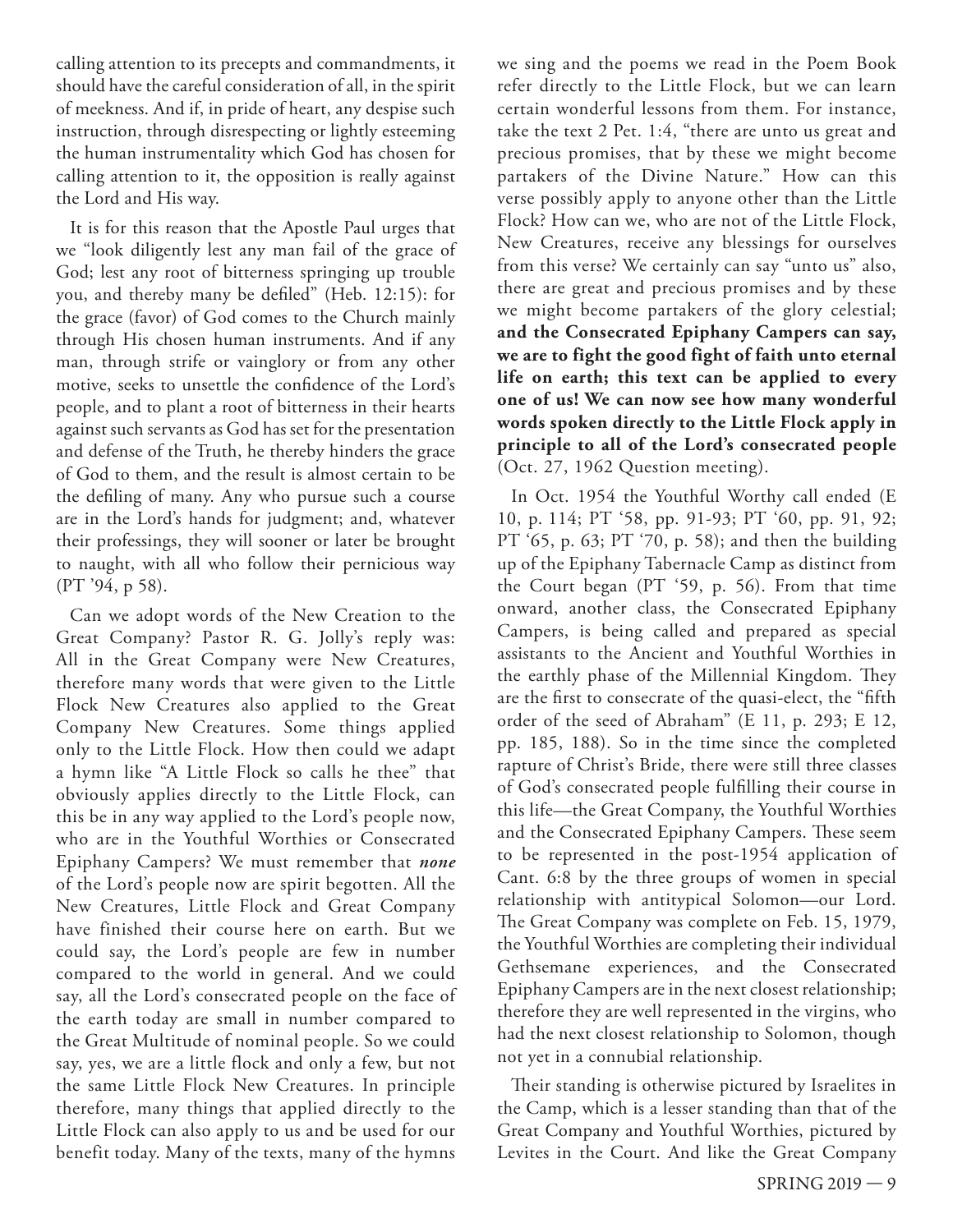calling attention to its precepts and commandments, it should have the careful consideration of all, in the spirit of meekness. And if, in pride of heart, any despise such instruction, through disrespecting or lightly esteeming the human instrumentality which God has chosen for calling attention to it, the opposition is really against the Lord and His way.

It is for this reason that the Apostle Paul urges that we "look diligently lest any man fail of the grace of God; lest any root of bitterness springing up trouble you, and thereby many be defiled" (Heb. 12:15): for the grace (favor) of God comes to the Church mainly through His chosen human instruments. And if any man, through strife or vainglory or from any other motive, seeks to unsettle the confidence of the Lord's people, and to plant a root of bitterness in their hearts against such servants as God has set for the presentation and defense of the Truth, he thereby hinders the grace of God to them, and the result is almost certain to be the defiling of many. Any who pursue such a course are in the Lord's hands for judgment; and, whatever their professings, they will sooner or later be brought to naught, with all who follow their pernicious way (PT '94, p 58).

Can we adopt words of the New Creation to the Great Company? Pastor R. G. Jolly's reply was: All in the Great Company were New Creatures, therefore many words that were given to the Little Flock New Creatures also applied to the Great Company New Creatures. Some things applied only to the Little Flock. How then could we adapt a hymn like "A Little Flock so calls he thee" that obviously applies directly to the Little Flock, can this be in any way applied to the Lord's people now, who are in the Youthful Worthies or Consecrated Epiphany Campers? We must remember that *none* of the Lord's people now are spirit begotten. All the New Creatures, Little Flock and Great Company have finished their course here on earth. But we could say, the Lord's people are few in number compared to the world in general. And we could say, all the Lord's consecrated people on the face of the earth today are small in number compared to the Great Multitude of nominal people. So we could say, yes, we are a little flock and only a few, but not the same Little Flock New Creatures. In principle therefore, many things that applied directly to the Little Flock can also apply to us and be used for our benefit today. Many of the texts, many of the hymns we sing and the poems we read in the Poem Book refer directly to the Little Flock, but we can learn certain wonderful lessons from them. For instance, take the text 2 Pet. 1:4, "there are unto us great and precious promises, that by these we might become partakers of the Divine Nature." How can this verse possibly apply to anyone other than the Little Flock? How can we, who are not of the Little Flock, New Creatures, receive any blessings for ourselves from this verse? We certainly can say "unto us" also, there are great and precious promises and by these we might become partakers of the glory celestial; **and the Consecrated Epiphany Campers can say, we are to fight the good fight of faith unto eternal life on earth; this text can be applied to every one of us! We can now see how many wonderful words spoken directly to the Little Flock apply in principle to all of the Lord's consecrated people** (Oct. 27, 1962 Question meeting).

In Oct. 1954 the Youthful Worthy call ended (E 10, p. 114; PT '58, pp. 91-93; PT '60, pp. 91, 92; PT '65, p. 63; PT '70, p. 58); and then the building up of the Epiphany Tabernacle Camp as distinct from the Court began (PT '59, p. 56). From that time onward, another class, the Consecrated Epiphany Campers, is being called and prepared as special assistants to the Ancient and Youthful Worthies in the earthly phase of the Millennial Kingdom. They are the first to consecrate of the quasi-elect, the "fifth order of the seed of Abraham" (E 11, p. 293; E 12, pp. 185, 188). So in the time since the completed rapture of Christ's Bride, there were still three classes of God's consecrated people fulfilling their course in this life—the Great Company, the Youthful Worthies and the Consecrated Epiphany Campers. These seem to be represented in the post-1954 application of Cant. 6:8 by the three groups of women in special relationship with antitypical Solomon—our Lord. The Great Company was complete on Feb. 15, 1979, the Youthful Worthies are completing their individual Gethsemane experiences, and the Consecrated Epiphany Campers are in the next closest relationship; therefore they are well represented in the virgins, who had the next closest relationship to Solomon, though not yet in a connubial relationship.

Their standing is otherwise pictured by Israelites in the Camp, which is a lesser standing than that of the Great Company and Youthful Worthies, pictured by Levites in the Court. And like the Great Company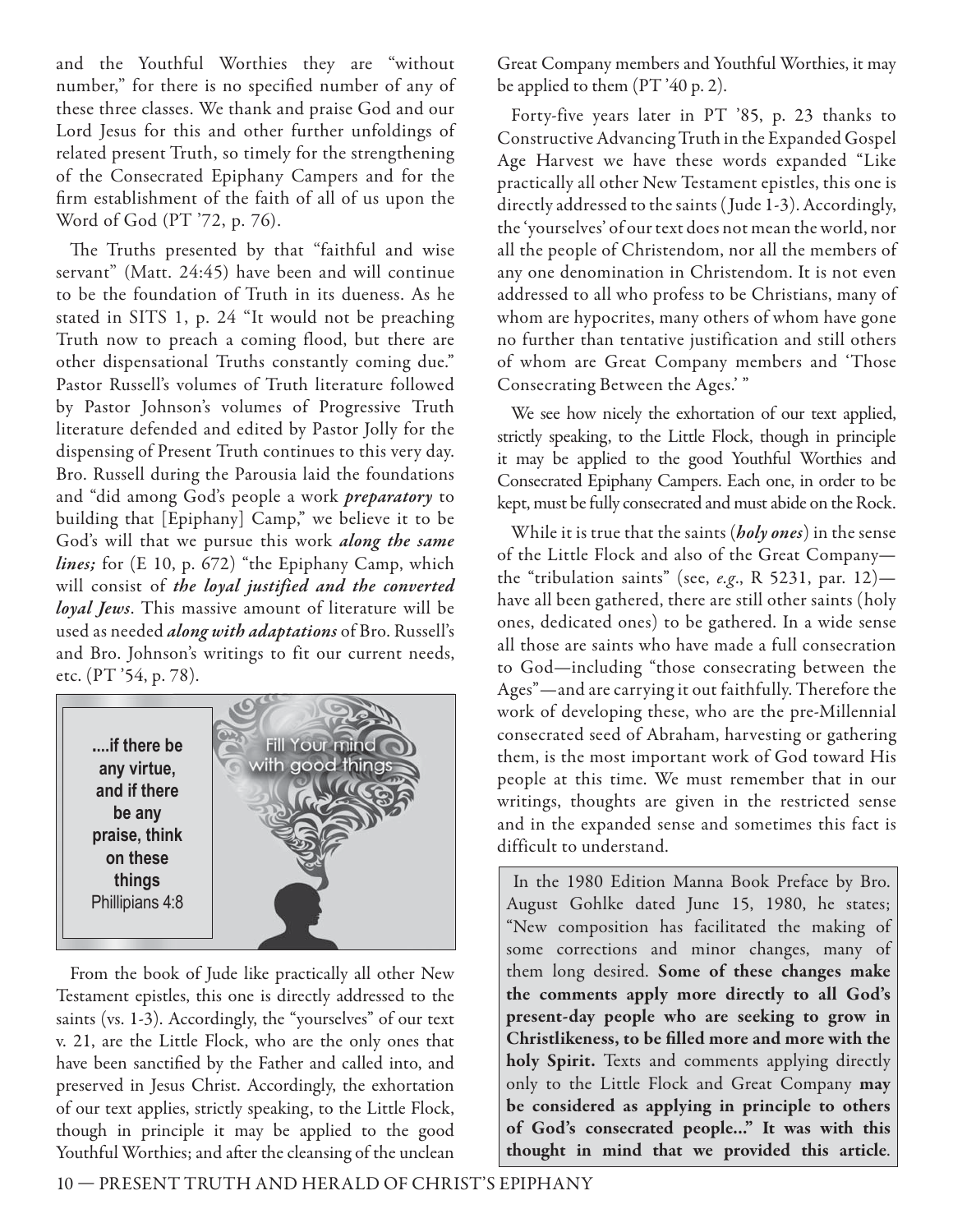and the Youthful Worthies they are "without number," for there is no specified number of any of these three classes. We thank and praise God and our Lord Jesus for this and other further unfoldings of related present Truth, so timely for the strengthening of the Consecrated Epiphany Campers and for the firm establishment of the faith of all of us upon the Word of God (PT '72, p. 76).

The Truths presented by that "faithful and wise servant" (Matt. 24:45) have been and will continue to be the foundation of Truth in its dueness. As he stated in SITS 1, p. 24 "It would not be preaching Truth now to preach a coming flood, but there are other dispensational Truths constantly coming due." Pastor Russell's volumes of Truth literature followed by Pastor Johnson's volumes of Progressive Truth literature defended and edited by Pastor Jolly for the dispensing of Present Truth continues to this very day. Bro. Russell during the Parousia laid the foundations and "did among God's people a work *preparatory* to building that [Epiphany] Camp," we believe it to be God's will that we pursue this work *along the same lines;* for (E 10, p. 672) "the Epiphany Camp, which will consist of *the loyal justified and the converted loyal Jews*. This massive amount of literature will be used as needed *along with adaptations* of Bro. Russell's and Bro. Johnson's writings to fit our current needs, etc. (PT '54, p. 78).



From the book of Jude like practically all other New Testament epistles, this one is directly addressed to the saints (vs. 1-3). Accordingly, the "yourselves" of our text v. 21, are the Little Flock, who are the only ones that have been sanctified by the Father and called into, and preserved in Jesus Christ. Accordingly, the exhortation of our text applies, strictly speaking, to the Little Flock, though in principle it may be applied to the good Youthful Worthies; and after the cleansing of the unclean

Great Company members and Youthful Worthies, it may be applied to them (PT '40 p. 2).

Forty-five years later in PT '85, p. 23 thanks to Constructive Advancing Truth in the Expanded Gospel Age Harvest we have these words expanded "Like practically all other New Testament epistles, this one is directly addressed to the saints ( Jude 1-3). Accordingly, the 'yourselves' of our text does not mean the world, nor all the people of Christendom, nor all the members of any one denomination in Christendom. It is not even addressed to all who profess to be Christians, many of whom are hypocrites, many others of whom have gone no further than tentative justification and still others of whom are Great Company members and 'Those Consecrating Between the Ages.' "

We see how nicely the exhortation of our text applied, strictly speaking, to the Little Flock, though in principle it may be applied to the good Youthful Worthies and Consecrated Epiphany Campers. Each one, in order to be kept, must be fully consecrated and must abide on the Rock.

While it is true that the saints (*holy ones*) in the sense of the Little Flock and also of the Great Company the "tribulation saints" (see, e.g., R 5231, par. 12) have all been gathered, there are still other saints (holy ones, dedicated ones) to be gathered. In a wide sense all those are saints who have made a full consecration to God—including "those consecrating between the Ages"—and are carrying it out faithfully. Therefore the work of developing these, who are the pre-Millennial consecrated seed of Abraham, harvesting or gathering them, is the most important work of God toward His people at this time. We must remember that in our writings, thoughts are given in the restricted sense and in the expanded sense and sometimes this fact is difficult to understand.

 In the 1980 Edition Manna Book Preface by Bro. August Gohlke dated June 15, 1980, he states; "New composition has facilitated the making of some corrections and minor changes, many of them long desired. **Some of these changes make the comments apply more directly to all God's present-day people who are seeking to grow in**  Christlikeness, to be filled more and more with the **holy Spirit.** Texts and comments applying directly only to the Little Flock and Great Company **may be considered as applying in principle to others of God's consecrated people..." It was with this thought in mind that we provided this article**.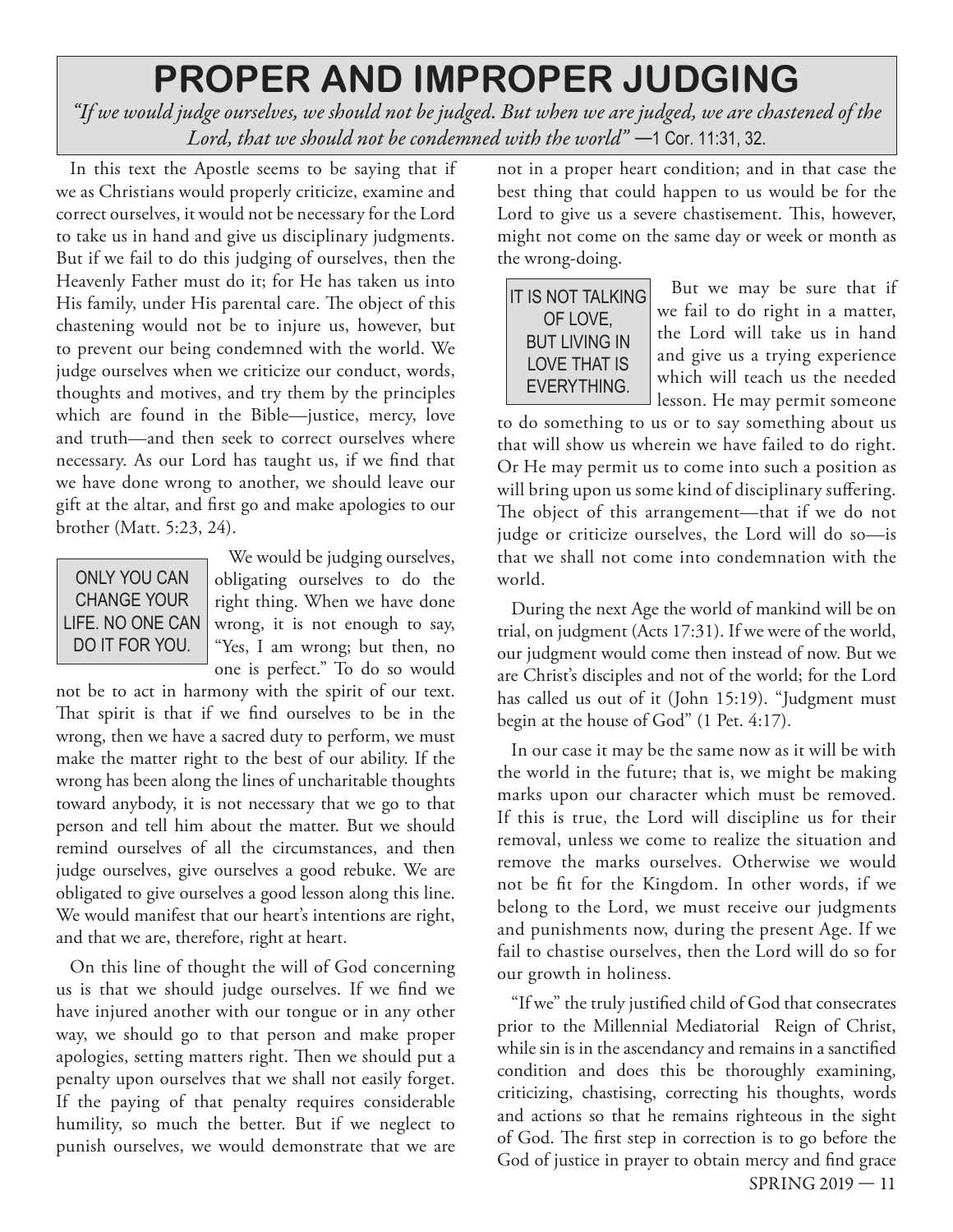### **PROPER AND IMPROPER JUDGING**

*"If we would judge ourselves, we should not be judged. But when we are judged, we are chastened of the Lord, that we should not be condemned with the world*" –1 Cor. 11:31, 32.

In this text the Apostle seems to be saying that if we as Christians would properly criticize, examine and correct ourselves, it would not be necessary for the Lord to take us in hand and give us disciplinary judgments. But if we fail to do this judging of ourselves, then the Heavenly Father must do it; for He has taken us into His family, under His parental care. The object of this chastening would not be to injure us, however, but to prevent our being condemned with the world. We judge ourselves when we criticize our conduct, words, thoughts and motives, and try them by the principles which are found in the Bible—justice, mercy, love and truth—and then seek to correct ourselves where necessary. As our Lord has taught us, if we find that we have done wrong to another, we should leave our gift at the altar, and first go and make apologies to our brother (Matt. 5:23, 24).

| ONLY YOU CAN       |
|--------------------|
| <b>CHANGE YOUR</b> |
| LIFE. NO ONE CAN   |
| DO IT FOR YOU      |

We would be judging ourselves, obligating ourselves to do the right thing. When we have done wrong, it is not enough to say, "Yes, I am wrong; but then, no one is perfect." To do so would

not be to act in harmony with the spirit of our text. That spirit is that if we find ourselves to be in the wrong, then we have a sacred duty to perform, we must make the matter right to the best of our ability. If the wrong has been along the lines of uncharitable thoughts toward anybody, it is not necessary that we go to that person and tell him about the matter. But we should remind ourselves of all the circumstances, and then judge ourselves, give ourselves a good rebuke. We are obligated to give ourselves a good lesson along this line. We would manifest that our heart's intentions are right, and that we are, therefore, right at heart.

On this line of thought the will of God concerning us is that we should judge ourselves. If we find we have injured another with our tongue or in any other way, we should go to that person and make proper apologies, setting matters right. Then we should put a penalty upon ourselves that we shall not easily forget. If the paying of that penalty requires considerable humility, so much the better. But if we neglect to punish ourselves, we would demonstrate that we are not in a proper heart condition; and in that case the best thing that could happen to us would be for the Lord to give us a severe chastisement. This, however, might not come on the same day or week or month as the wrong-doing.

IT IS NOT TALKING OF LOVE **BUT LIVING IN LOVE THAT IS EVERYTHING.** 

But we may be sure that if we fail to do right in a matter, the Lord will take us in hand and give us a trying experience which will teach us the needed lesson. He may permit someone

to do something to us or to say something about us that will show us wherein we have failed to do right. Or He may permit us to come into such a position as will bring upon us some kind of disciplinary suffering. The object of this arrangement—that if we do not judge or criticize ourselves, the Lord will do so—is that we shall not come into condemnation with the world.

During the next Age the world of mankind will be on trial, on judgment (Acts 17:31). If we were of the world, our judgment would come then instead of now. But we are Christ's disciples and not of the world; for the Lord has called us out of it (John 15:19). "Judgment must begin at the house of God" (1 Pet. 4:17).

In our case it may be the same now as it will be with the world in the future; that is, we might be making marks upon our character which must be removed. If this is true, the Lord will discipline us for their removal, unless we come to realize the situation and remove the marks ourselves. Otherwise we would not be fit for the Kingdom. In other words, if we belong to the Lord, we must receive our judgments and punishments now, during the present Age. If we fail to chastise ourselves, then the Lord will do so for our growth in holiness.

SPRING 2019 — 11 "If we" the truly justified child of God that consecrates prior to the Millennial Mediatorial Reign of Christ, while sin is in the ascendancy and remains in a sanctified condition and does this be thoroughly examining, criticizing, chastising, correcting his thoughts, words and actions so that he remains righteous in the sight of God. The first step in correction is to go before the God of justice in prayer to obtain mercy and find grace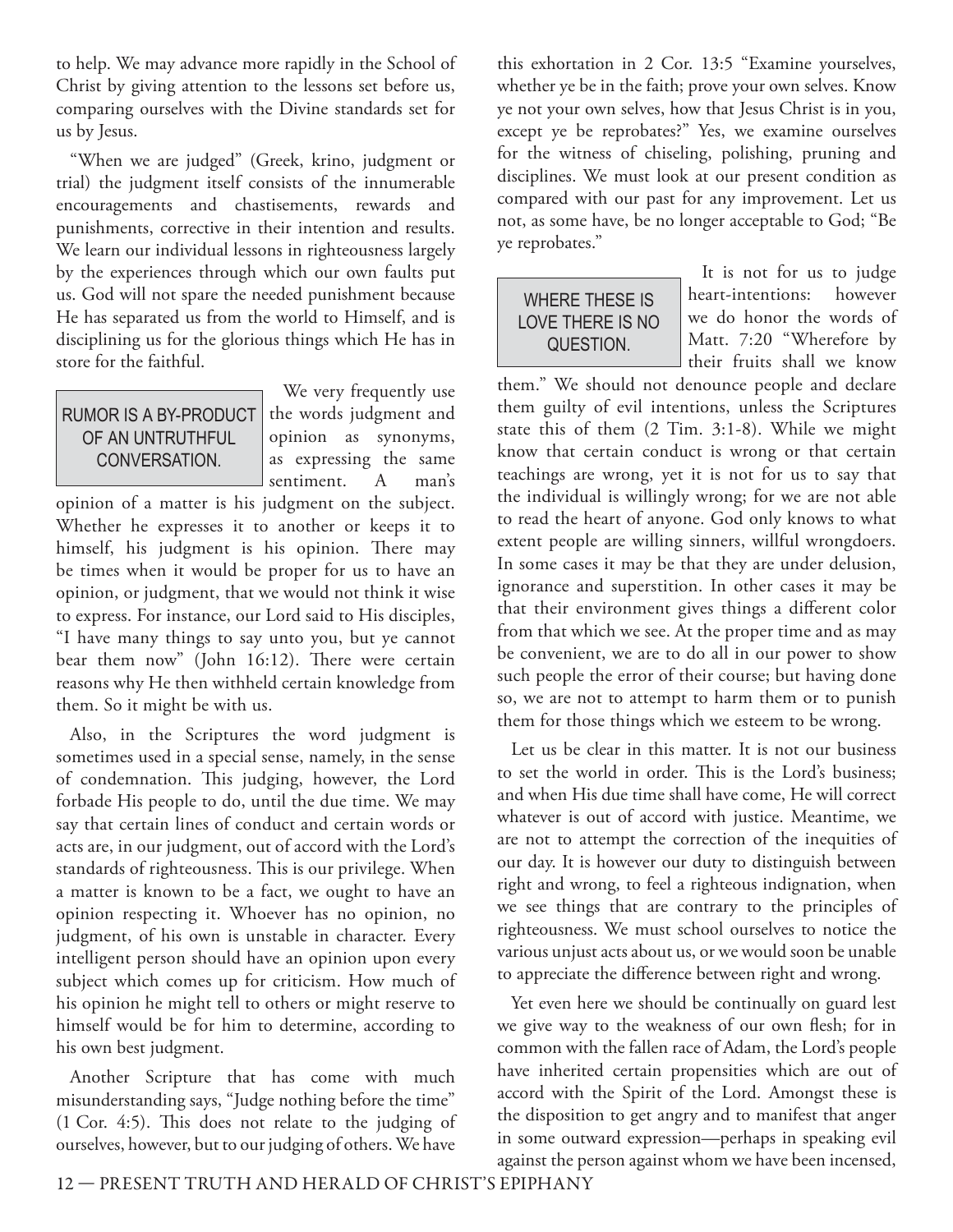to help. We may advance more rapidly in the School of Christ by giving attention to the lessons set before us, comparing ourselves with the Divine standards set for us by Jesus.

"When we are judged" (Greek, krino, judgment or trial) the judgment itself consists of the innumerable encouragements and chastisements, rewards and punishments, corrective in their intention and results. We learn our individual lessons in righteousness largely by the experiences through which our own faults put us. God will not spare the needed punishment because He has separated us from the world to Himself, and is disciplining us for the glorious things which He has in store for the faithful.

#### RUMOR IS A BY-PRODUCT OF AN UNTRUTHFUL CONVERSATION

We very frequently use the words judgment and opinion as synonyms, as expressing the same sentiment. A man's

opinion of a matter is his judgment on the subject. Whether he expresses it to another or keeps it to himself, his judgment is his opinion. There may be times when it would be proper for us to have an opinion, or judgment, that we would not think it wise to express. For instance, our Lord said to His disciples, "I have many things to say unto you, but ye cannot bear them now" (John 16:12). There were certain reasons why He then withheld certain knowledge from them. So it might be with us.

Also, in the Scriptures the word judgment is sometimes used in a special sense, namely, in the sense of condemnation. This judging, however, the Lord forbade His people to do, until the due time. We may say that certain lines of conduct and certain words or acts are, in our judgment, out of accord with the Lord's standards of righteousness. This is our privilege. When a matter is known to be a fact, we ought to have an opinion respecting it. Whoever has no opinion, no judgment, of his own is unstable in character. Every intelligent person should have an opinion upon every subject which comes up for criticism. How much of his opinion he might tell to others or might reserve to himself would be for him to determine, according to his own best judgment.

Another Scripture that has come with much misunderstanding says, "Judge nothing before the time"  $(1$  Cor. 4:5). This does not relate to the judging of ourselves, however, but to our judging of others. We have

this exhortation in 2 Cor. 13:5 "Examine yourselves, whether ye be in the faith; prove your own selves. Know ye not your own selves, how that Jesus Christ is in you, except ye be reprobates?" Yes, we examine ourselves for the witness of chiseling, polishing, pruning and disciplines. We must look at our present condition as compared with our past for any improvement. Let us not, as some have, be no longer acceptable to God; "Be ye reprobates."

| <b>WHERE THESE IS</b> |  |
|-----------------------|--|
| LOVE THERE IS NO      |  |
| QUESTION.             |  |
|                       |  |

It is not for us to judge heart-intentions: however we do honor the words of Matt. 7:20 "Wherefore by their fruits shall we know

them." We should not denounce people and declare them guilty of evil intentions, unless the Scriptures state this of them (2 Tim. 3:1-8). While we might know that certain conduct is wrong or that certain teachings are wrong, yet it is not for us to say that the individual is willingly wrong; for we are not able to read the heart of anyone. God only knows to what extent people are willing sinners, willful wrongdoers. In some cases it may be that they are under delusion, ignorance and superstition. In other cases it may be that their environment gives things a different color from that which we see. At the proper time and as may be convenient, we are to do all in our power to show such people the error of their course; but having done so, we are not to attempt to harm them or to punish them for those things which we esteem to be wrong.

Let us be clear in this matter. It is not our business to set the world in order. This is the Lord's business; and when His due time shall have come, He will correct whatever is out of accord with justice. Meantime, we are not to attempt the correction of the inequities of our day. It is however our duty to distinguish between right and wrong, to feel a righteous indignation, when we see things that are contrary to the principles of righteousness. We must school ourselves to notice the various unjust acts about us, or we would soon be unable to appreciate the difference between right and wrong.

Yet even here we should be continually on guard lest we give way to the weakness of our own flesh; for in common with the fallen race of Adam, the Lord's people have inherited certain propensities which are out of accord with the Spirit of the Lord. Amongst these is the disposition to get angry and to manifest that anger in some outward expression—perhaps in speaking evil against the person against whom we have been incensed,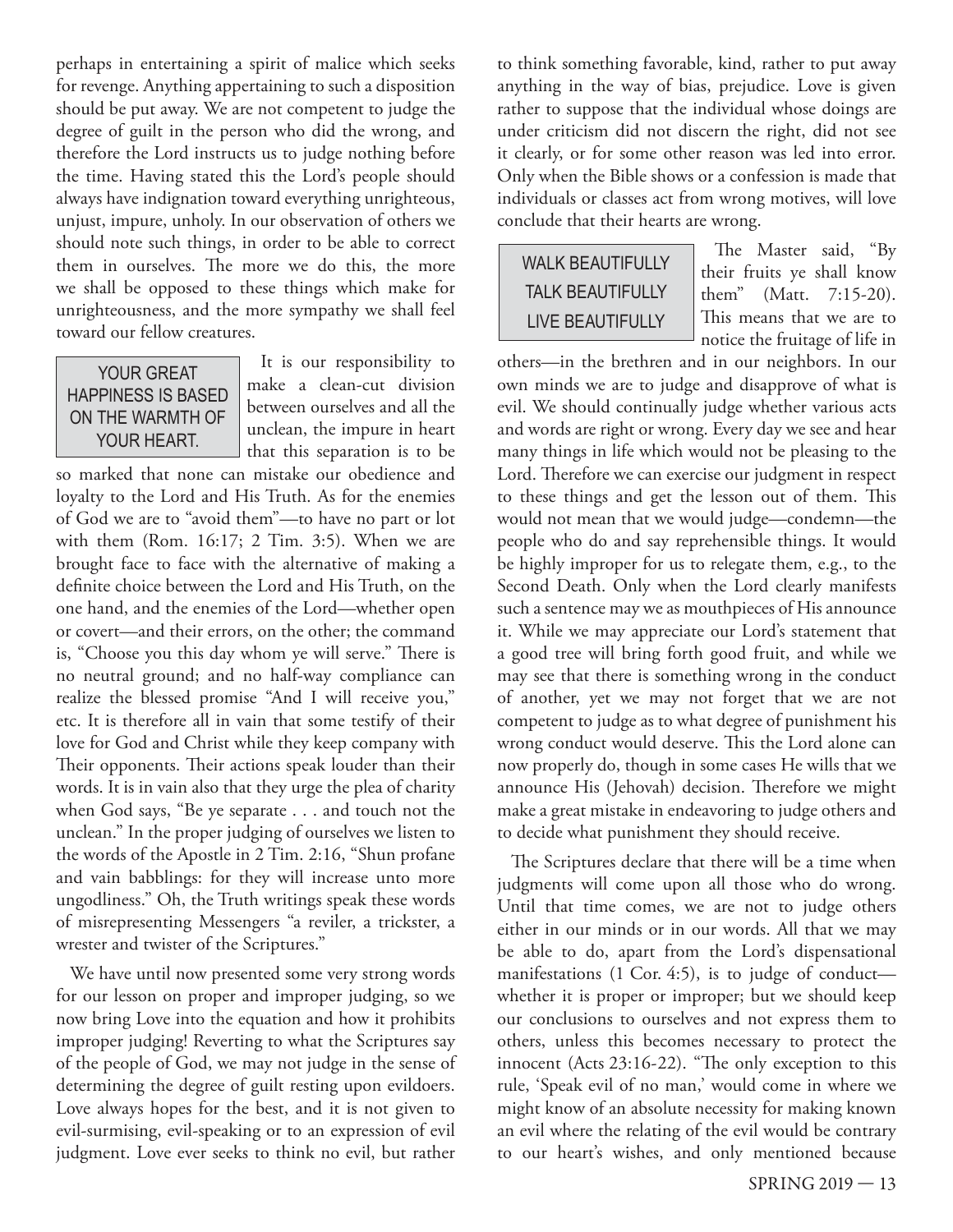perhaps in entertaining a spirit of malice which seeks for revenge. Anything appertaining to such a disposition should be put away. We are not competent to judge the degree of guilt in the person who did the wrong, and therefore the Lord instructs us to judge nothing before the time. Having stated this the Lord's people should always have indignation toward everything unrighteous, unjust, impure, unholy. In our observation of others we should note such things, in order to be able to correct them in ourselves. The more we do this, the more we shall be opposed to these things which make for unrighteousness, and the more sympathy we shall feel toward our fellow creatures.

#### **YOUR GREAT HAPPINESS IS BASED** ON THE WARMTH OF YOUR HEART.

It is our responsibility to make a clean-cut division between ourselves and all the unclean, the impure in heart that this separation is to be

so marked that none can mistake our obedience and loyalty to the Lord and His Truth. As for the enemies of God we are to "avoid them"—to have no part or lot with them (Rom. 16:17; 2 Tim. 3:5). When we are brought face to face with the alternative of making a definite choice between the Lord and His Truth, on the one hand, and the enemies of the Lord—whether open or covert—and their errors, on the other; the command is, "Choose you this day whom ye will serve." There is no neutral ground; and no half-way compliance can realize the blessed promise "And I will receive you," etc. It is therefore all in vain that some testify of their love for God and Christ while they keep company with Their opponents. Their actions speak louder than their words. It is in vain also that they urge the plea of charity when God says, "Be ye separate . . . and touch not the unclean." In the proper judging of ourselves we listen to the words of the Apostle in 2 Tim. 2:16, "Shun profane and vain babblings: for they will increase unto more ungodliness." Oh, the Truth writings speak these words of misrepresenting Messengers "a reviler, a trickster, a wrester and twister of the Scriptures."

We have until now presented some very strong words for our lesson on proper and improper judging, so we now bring Love into the equation and how it prohibits improper judging! Reverting to what the Scriptures say of the people of God, we may not judge in the sense of determining the degree of guilt resting upon evildoers. Love always hopes for the best, and it is not given to evil-surmising, evil-speaking or to an expression of evil judgment. Love ever seeks to think no evil, but rather

to think something favorable, kind, rather to put away anything in the way of bias, prejudice. Love is given rather to suppose that the individual whose doings are under criticism did not discern the right, did not see it clearly, or for some other reason was led into error. Only when the Bible shows or a confession is made that individuals or classes act from wrong motives, will love conclude that their hearts are wrong.

#### **WALK BEAUTIFULLY TALK BEAUTIFULLY LIVE BEAUTIFULLY**

The Master said, "By their fruits ye shall know them" (Matt. 7:15-20). This means that we are to notice the fruitage of life in

others—in the brethren and in our neighbors. In our own minds we are to judge and disapprove of what is evil. We should continually judge whether various acts and words are right or wrong. Every day we see and hear many things in life which would not be pleasing to the Lord. Therefore we can exercise our judgment in respect to these things and get the lesson out of them. This would not mean that we would judge—condemn—the people who do and say reprehensible things. It would be highly improper for us to relegate them, e.g., to the Second Death. Only when the Lord clearly manifests such a sentence may we as mouthpieces of His announce it. While we may appreciate our Lord's statement that a good tree will bring forth good fruit, and while we may see that there is something wrong in the conduct of another, yet we may not forget that we are not competent to judge as to what degree of punishment his wrong conduct would deserve. This the Lord alone can now properly do, though in some cases He wills that we announce His (Jehovah) decision. Therefore we might make a great mistake in endeavoring to judge others and to decide what punishment they should receive.

The Scriptures declare that there will be a time when judgments will come upon all those who do wrong. Until that time comes, we are not to judge others either in our minds or in our words. All that we may be able to do, apart from the Lord's dispensational manifestations (1 Cor. 4:5), is to judge of conduct whether it is proper or improper; but we should keep our conclusions to ourselves and not express them to others, unless this becomes necessary to protect the innocent (Acts 23:16-22). "The only exception to this rule, 'Speak evil of no man,' would come in where we might know of an absolute necessity for making known an evil where the relating of the evil would be contrary to our heart's wishes, and only mentioned because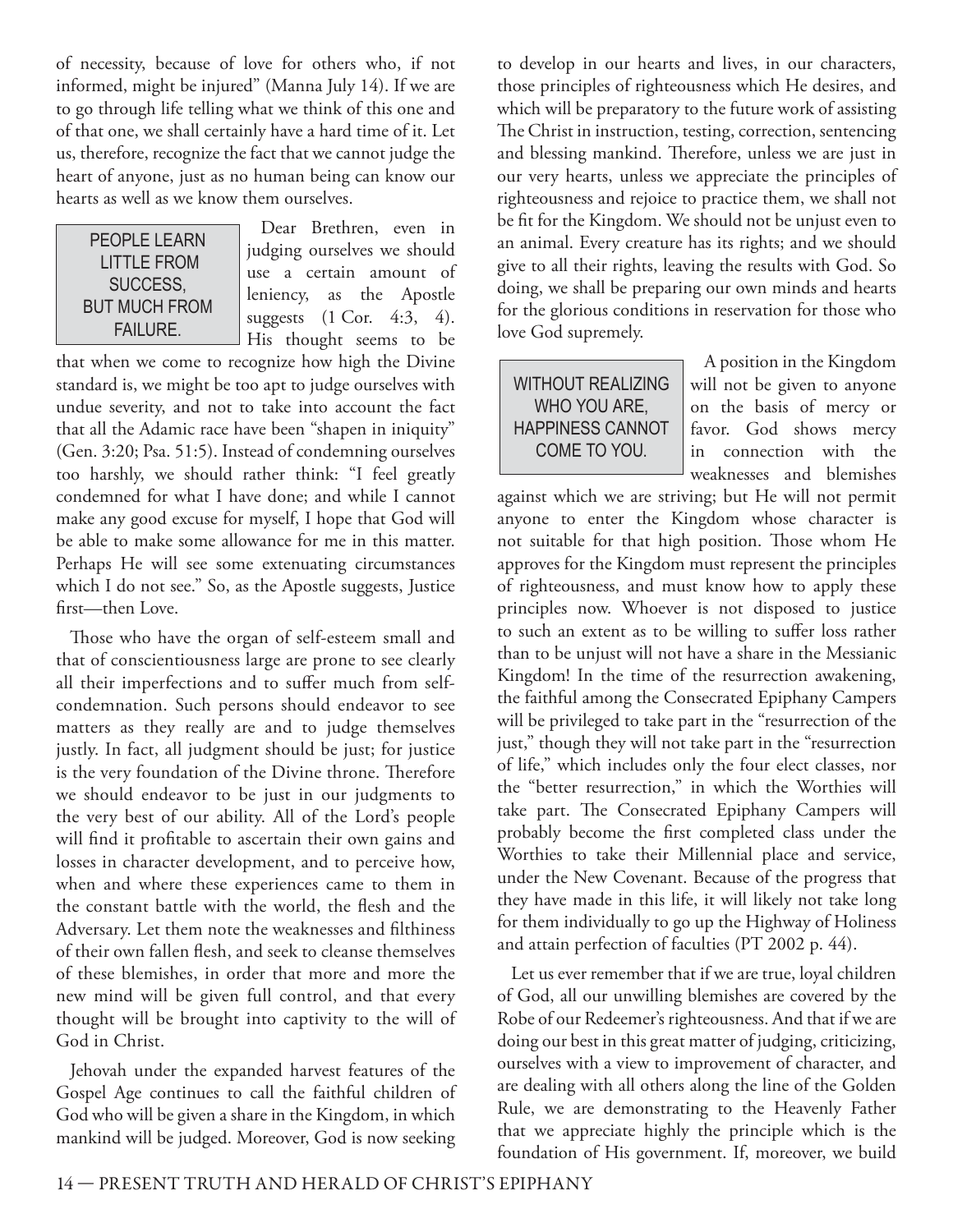of necessity, because of love for others who, if not informed, might be injured" (Manna July 14). If we are to go through life telling what we think of this one and of that one, we shall certainly have a hard time of it. Let us, therefore, recognize the fact that we cannot judge the heart of anyone, just as no human being can know our hearts as well as we know them ourselves.

#### PEOPLE LEARN **LITTLE FROM** SUCCESS. **BUT MUCH FROM FAILURE.**

Dear Brethren, even in judging ourselves we should use a certain amount of leniency, as the Apostle suggests (1 Cor. 4:3, 4). His thought seems to be

that when we come to recognize how high the Divine standard is, we might be too apt to judge ourselves with undue severity, and not to take into account the fact that all the Adamic race have been "shapen in iniquity" (Gen. 3:20; Psa. 51:5). Instead of condemning ourselves too harshly, we should rather think: "I feel greatly condemned for what I have done; and while I cannot make any good excuse for myself, I hope that God will be able to make some allowance for me in this matter. Perhaps He will see some extenuating circumstances which I do not see." So, as the Apostle suggests, Justice first—then Love.

Those who have the organ of self-esteem small and that of conscientiousness large are prone to see clearly all their imperfections and to suffer much from selfcondemnation. Such persons should endeavor to see matters as they really are and to judge themselves justly. In fact, all judgment should be just; for justice is the very foundation of the Divine throne. Therefore we should endeavor to be just in our judgments to the very best of our ability. All of the Lord's people will find it profitable to ascertain their own gains and losses in character development, and to perceive how, when and where these experiences came to them in the constant battle with the world, the flesh and the Adversary. Let them note the weaknesses and filthiness of their own fallen flesh, and seek to cleanse themselves of these blemishes, in order that more and more the new mind will be given full control, and that every thought will be brought into captivity to the will of God in Christ.

Jehovah under the expanded harvest features of the Gospel Age continues to call the faithful children of God who will be given a share in the Kingdom, in which mankind will be judged. Moreover, God is now seeking

to develop in our hearts and lives, in our characters, those principles of righteousness which He desires, and which will be preparatory to the future work of assisting The Christ in instruction, testing, correction, sentencing and blessing mankind. Therefore, unless we are just in our very hearts, unless we appreciate the principles of righteousness and rejoice to practice them, we shall not be fit for the Kingdom. We should not be unjust even to an animal. Every creature has its rights; and we should give to all their rights, leaving the results with God. So doing, we shall be preparing our own minds and hearts for the glorious conditions in reservation for those who love God supremely.

**WITHOUT REALIZING** WHO YOU ARE. **HAPPINESS CANNOT** COME TO YOU.

A position in the Kingdom will not be given to anyone on the basis of mercy or favor. God shows mercy in connection with the weaknesses and blemishes

against which we are striving; but He will not permit anyone to enter the Kingdom whose character is not suitable for that high position. Those whom He approves for the Kingdom must represent the principles of righteousness, and must know how to apply these principles now. Whoever is not disposed to justice to such an extent as to be willing to suffer loss rather than to be unjust will not have a share in the Messianic Kingdom! In the time of the resurrection awakening, the faithful among the Consecrated Epiphany Campers will be privileged to take part in the "resurrection of the just," though they will not take part in the "resurrection of life," which includes only the four elect classes, nor the "better resurrection," in which the Worthies will take part. The Consecrated Epiphany Campers will probably become the first completed class under the Worthies to take their Millennial place and service, under the New Covenant. Because of the progress that they have made in this life, it will likely not take long for them individually to go up the Highway of Holiness and attain perfection of faculties (PT 2002 p. 44).

Let us ever remember that if we are true, loyal children of God, all our unwilling blemishes are covered by the Robe of our Redeemer's righteousness. And that if we are doing our best in this great matter of judging, criticizing, ourselves with a view to improvement of character, and are dealing with all others along the line of the Golden Rule, we are demonstrating to the Heavenly Father that we appreciate highly the principle which is the foundation of His government. If, moreover, we build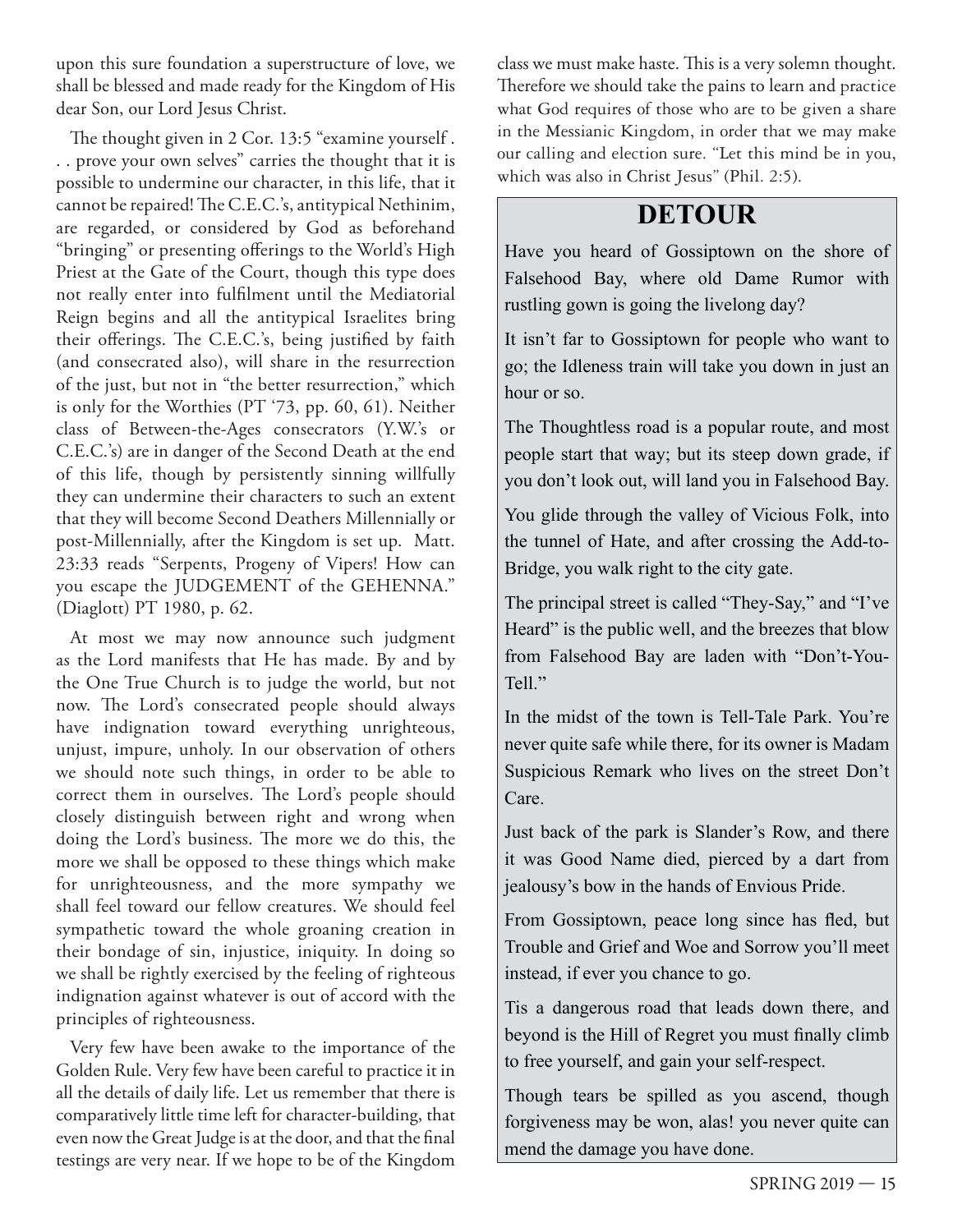upon this sure foundation a superstructure of love, we shall be blessed and made ready for the Kingdom of His dear Son, our Lord Jesus Christ.

The thought given in 2 Cor. 13:5 "examine yourself. . . prove your own selves" carries the thought that it is possible to undermine our character, in this life, that it cannot be repaired! The C.E.C.'s, antitypical Nethinim, are regarded, or considered by God as beforehand "bringing" or presenting offerings to the World's High Priest at the Gate of the Court, though this type does not really enter into fulfilment until the Mediatorial Reign begins and all the antitypical Israelites bring their offerings. The C.E.C.'s, being justified by faith (and consecrated also), will share in the resurrection of the just, but not in "the better resurrection," which is only for the Worthies (PT '73, pp. 60, 61). Neither class of Between-the-Ages consecrators (Y.W.'s or C.E.C.'s) are in danger of the Second Death at the end of this life, though by persistently sinning willfully they can undermine their characters to such an extent that they will become Second Deathers Millennially or post-Millennially, after the Kingdom is set up. Matt. 23:33 reads "Serpents, Progeny of Vipers! How can you escape the JUDGEMENT of the GEHENNA." (Diaglott) PT 1980, p. 62.

At most we may now announce such judgment as the Lord manifests that He has made. By and by the One True Church is to judge the world, but not now. The Lord's consecrated people should always have indignation toward everything unrighteous, unjust, impure, unholy. In our observation of others we should note such things, in order to be able to correct them in ourselves. The Lord's people should closely distinguish between right and wrong when doing the Lord's business. The more we do this, the more we shall be opposed to these things which make for unrighteousness, and the more sympathy we shall feel toward our fellow creatures. We should feel sympathetic toward the whole groaning creation in their bondage of sin, injustice, iniquity. In doing so we shall be rightly exercised by the feeling of righteous indignation against whatever is out of accord with the principles of righteousness.

Very few have been awake to the importance of the Golden Rule. Very few have been careful to practice it in all the details of daily life. Let us remember that there is comparatively little time left for character-building, that even now the Great Judge is at the door, and that the final testings are very near. If we hope to be of the Kingdom

class we must make haste. This is a very solemn thought. Therefore we should take the pains to learn and practice what God requires of those who are to be given a share in the Messianic Kingdom, in order that we may make our calling and election sure. "Let this mind be in you, which was also in Christ Jesus" (Phil. 2:5).

#### **DETOUR**

Have you heard of Gossiptown on the shore of Falsehood Bay, where old Dame Rumor with rustling gown is going the livelong day?

It isn't far to Gossiptown for people who want to go; the Idleness train will take you down in just an hour or so.

The Thoughtless road is a popular route, and most people start that way; but its steep down grade, if you don't look out, will land you in Falsehood Bay.

You glide through the valley of Vicious Folk, into the tunnel of Hate, and after crossing the Add-to-Bridge, you walk right to the city gate.

The principal street is called "They-Say," and "I've Heard" is the public well, and the breezes that blow from Falsehood Bay are laden with "Don't-You-Tell."

In the midst of the town is Tell-Tale Park. You're never quite safe while there, for its owner is Madam Suspicious Remark who lives on the street Don't Care.

Just back of the park is Slander's Row, and there it was Good Name died, pierced by a dart from jealousy's bow in the hands of Envious Pride.

From Gossiptown, peace long since has fled, but Trouble and Grief and Woe and Sorrow you'll meet instead, if ever you chance to go.

Tis a dangerous road that leads down there, and beyond is the Hill of Regret you must finally climb to free yourself, and gain your self-respect.

Though tears be spilled as you ascend, though forgiveness may be won, alas! you never quite can mend the damage you have done.